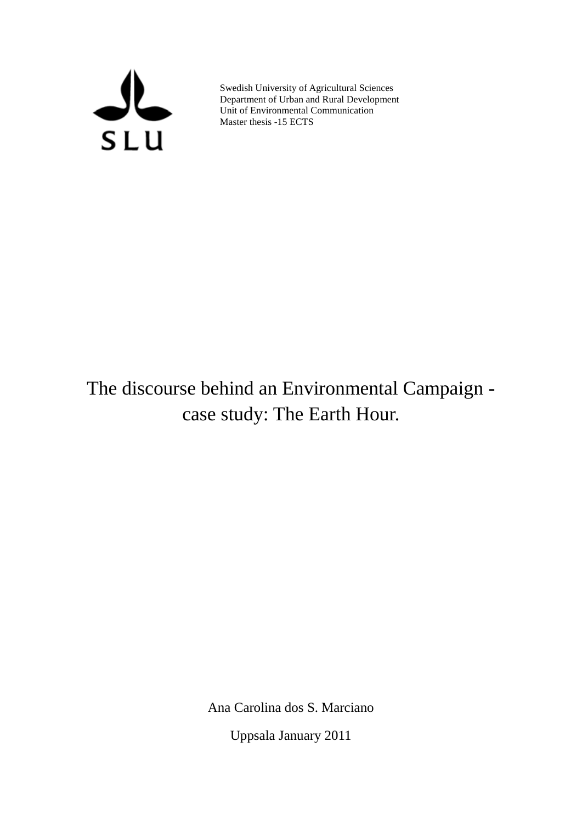

Swedish University of Agricultural Sciences Department of Urban and Rural Development Unit of Environmental Communication Master thesis -15 ECTS

# The discourse behind an Environmental Campaign case study: The Earth Hour.

Ana Carolina dos S. Marciano

Uppsala January 2011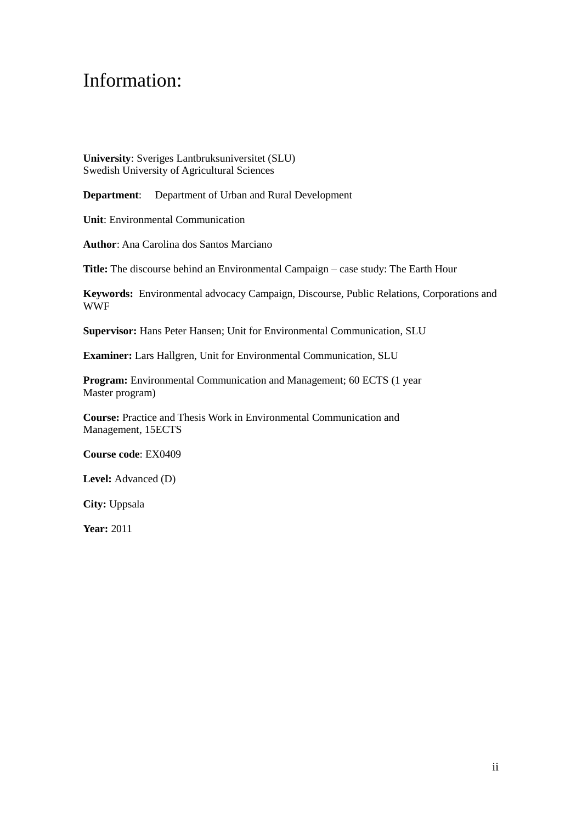## Information:

**University**: Sveriges Lantbruksuniversitet (SLU) Swedish University of Agricultural Sciences

**Department**: Department of Urban and Rural Development

**Unit**: Environmental Communication

**Author**: Ana Carolina dos Santos Marciano

**Title:** The discourse behind an Environmental Campaign – case study: The Earth Hour

**Keywords:** Environmental advocacy Campaign, Discourse, Public Relations, Corporations and WWF

**Supervisor:** Hans Peter Hansen; Unit for Environmental Communication, SLU

**Examiner:** Lars Hallgren, Unit for Environmental Communication, SLU

**Program:** Environmental Communication and Management; 60 ECTS (1 year Master program)

**Course:** Practice and Thesis Work in Environmental Communication and Management, 15ECTS

**Course code**: EX0409

**Level:** Advanced (D)

**City:** Uppsala

**Year:** 2011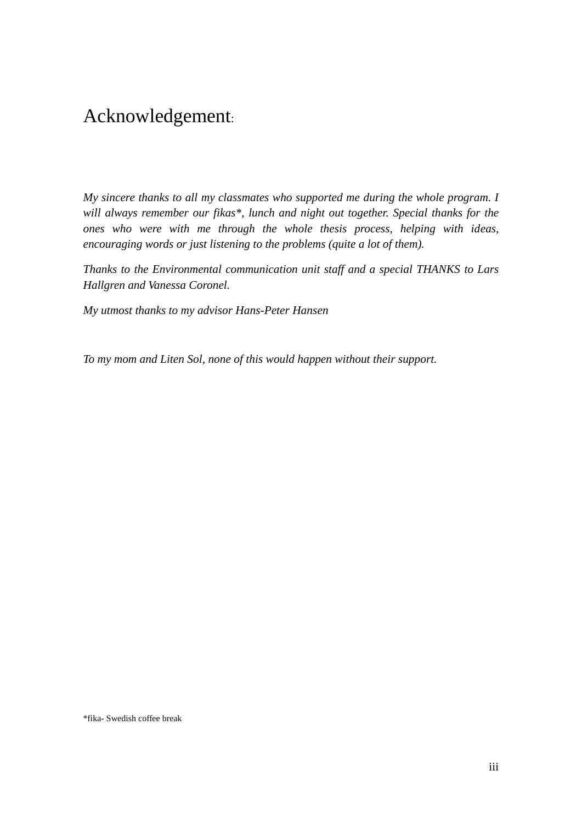## Acknowledgement:

*My sincere thanks to all my classmates who supported me during the whole program. I will always remember our fikas\*, lunch and night out together. Special thanks for the ones who were with me through the whole thesis process, helping with ideas, encouraging words or just listening to the problems (quite a lot of them).*

*Thanks to the Environmental communication unit staff and a special THANKS to Lars Hallgren and Vanessa Coronel.*

*My utmost thanks to my advisor Hans-Peter Hansen*

*To my mom and Liten Sol, none of this would happen without their support.*

\*fika- Swedish coffee break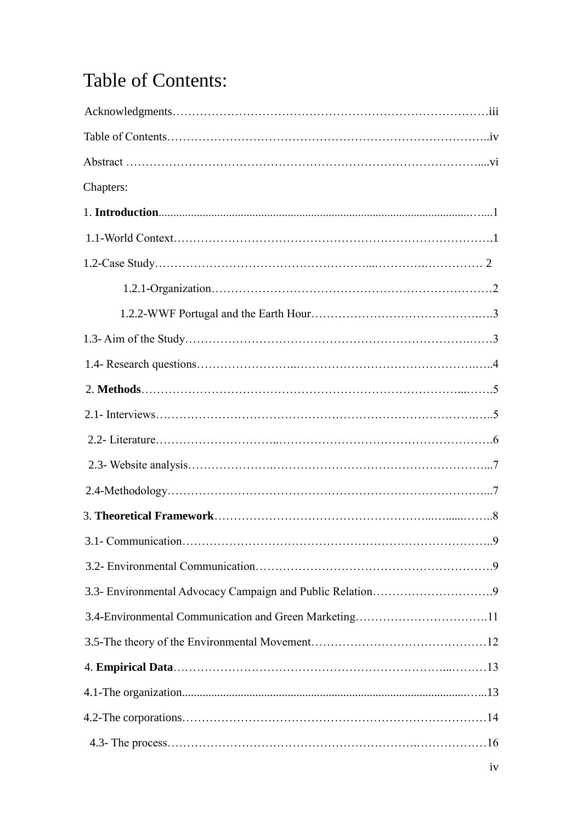# Table of Contents:

| Chapters:                                             |  |
|-------------------------------------------------------|--|
|                                                       |  |
|                                                       |  |
|                                                       |  |
|                                                       |  |
|                                                       |  |
|                                                       |  |
|                                                       |  |
|                                                       |  |
|                                                       |  |
|                                                       |  |
|                                                       |  |
|                                                       |  |
|                                                       |  |
|                                                       |  |
|                                                       |  |
|                                                       |  |
| 3.4-Environmental Communication and Green Marketing11 |  |
|                                                       |  |
|                                                       |  |
|                                                       |  |
|                                                       |  |
|                                                       |  |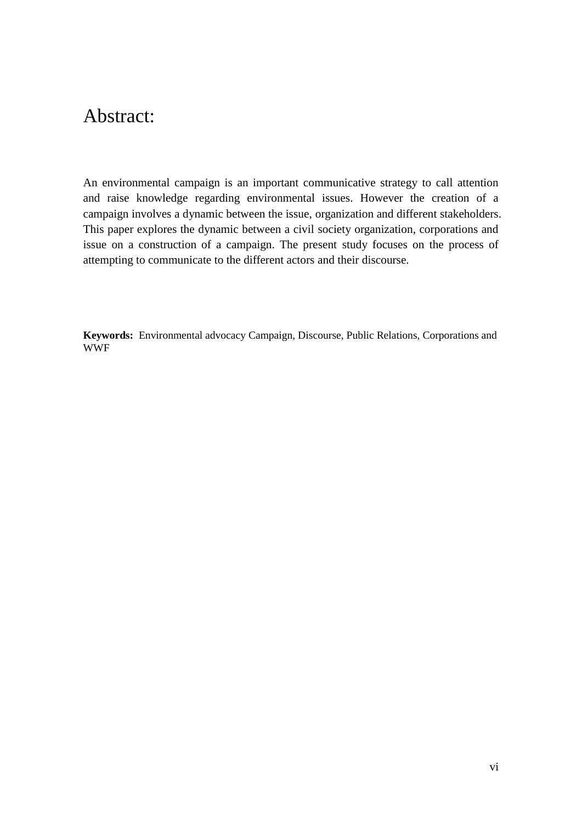## Abstract:

An environmental campaign is an important communicative strategy to call attention and raise knowledge regarding environmental issues. However the creation of a campaign involves a dynamic between the issue, organization and different stakeholders. This paper explores the dynamic between a civil society organization, corporations and issue on a construction of a campaign. The present study focuses on the process of attempting to communicate to the different actors and their discourse.

**Keywords:** Environmental advocacy Campaign, Discourse, Public Relations, Corporations and WWF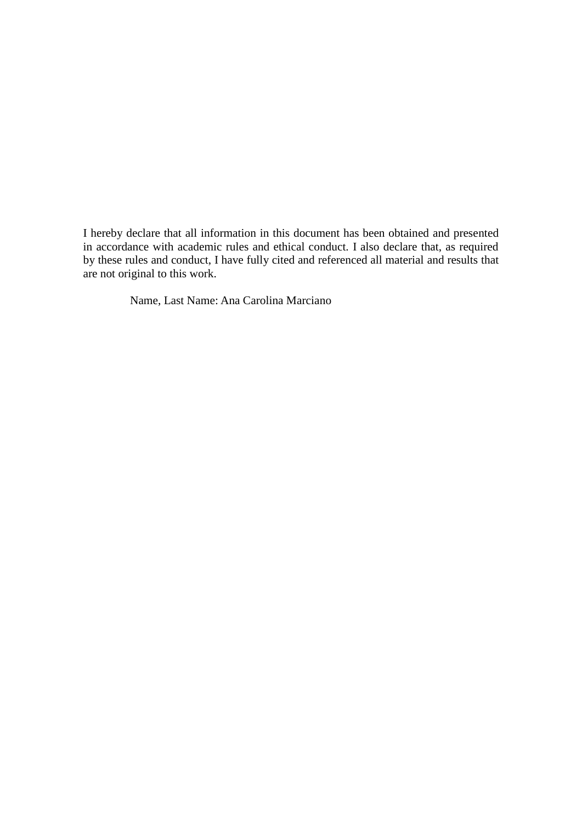I hereby declare that all information in this document has been obtained and presented in accordance with academic rules and ethical conduct. I also declare that, as required by these rules and conduct, I have fully cited and referenced all material and results that are not original to this work.

Name, Last Name: Ana Carolina Marciano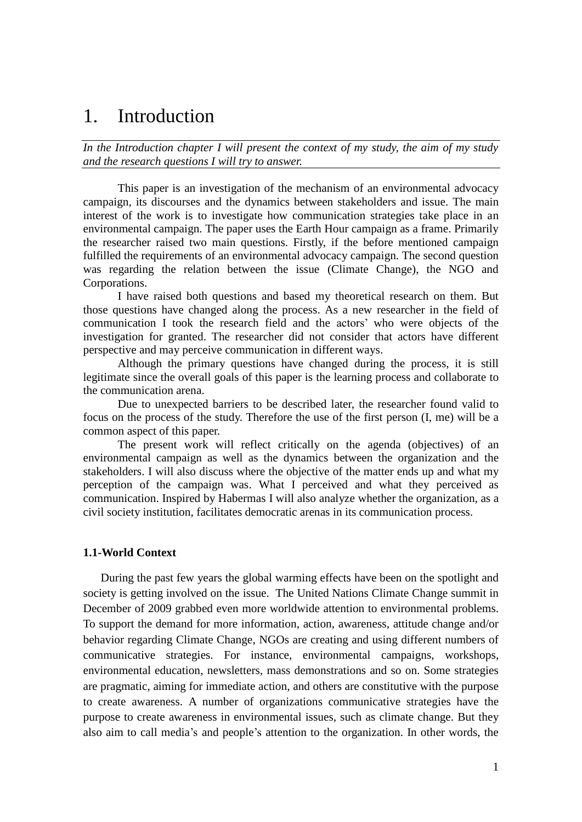## 1. Introduction

*In the Introduction chapter I will present the context of my study, the aim of my study and the research questions I will try to answer.*

This paper is an investigation of the mechanism of an environmental advocacy campaign, its discourses and the dynamics between stakeholders and issue. The main interest of the work is to investigate how communication strategies take place in an environmental campaign. The paper uses the Earth Hour campaign as a frame. Primarily the researcher raised two main questions. Firstly, if the before mentioned campaign fulfilled the requirements of an environmental advocacy campaign. The second question was regarding the relation between the issue (Climate Change), the NGO and Corporations.

I have raised both questions and based my theoretical research on them. But those questions have changed along the process. As a new researcher in the field of communication I took the research field and the actors" who were objects of the investigation for granted. The researcher did not consider that actors have different perspective and may perceive communication in different ways.

Although the primary questions have changed during the process, it is still legitimate since the overall goals of this paper is the learning process and collaborate to the communication arena.

Due to unexpected barriers to be described later, the researcher found valid to focus on the process of the study. Therefore the use of the first person (I, me) will be a common aspect of this paper.

The present work will reflect critically on the agenda (objectives) of an environmental campaign as well as the dynamics between the organization and the stakeholders. I will also discuss where the objective of the matter ends up and what my perception of the campaign was. What I perceived and what they perceived as communication. Inspired by Habermas I will also analyze whether the organization, as a civil society institution, facilitates democratic arenas in its communication process.

### **1.1-World Context**

During the past few years the global warming effects have been on the spotlight and society is getting involved on the issue. The United Nations Climate Change summit in December of 2009 grabbed even more worldwide attention to environmental problems. To support the demand for more information, action, awareness, attitude change and/or behavior regarding Climate Change, NGOs are creating and using different numbers of communicative strategies. For instance, environmental campaigns, workshops, environmental education, newsletters, mass demonstrations and so on. Some strategies are pragmatic, aiming for immediate action, and others are constitutive with the purpose to create awareness. A number of organizations communicative strategies have the purpose to create awareness in environmental issues, such as climate change. But they also aim to call media"s and people"s attention to the organization. In other words, the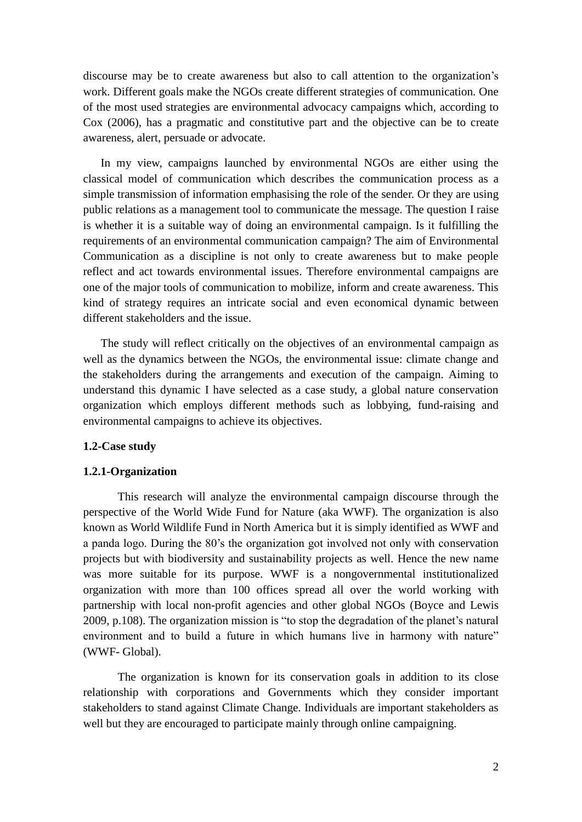discourse may be to create awareness but also to call attention to the organization"s work. Different goals make the NGOs create different strategies of communication. One of the most used strategies are environmental advocacy campaigns which, according to Cox (2006), has a pragmatic and constitutive part and the objective can be to create awareness, alert, persuade or advocate.

In my view, campaigns launched by environmental NGOs are either using the classical model of communication which describes the communication process as a simple transmission of information emphasising the role of the sender. Or they are using public relations as a management tool to communicate the message. The question I raise is whether it is a suitable way of doing an environmental campaign. Is it fulfilling the requirements of an environmental communication campaign? The aim of Environmental Communication as a discipline is not only to create awareness but to make people reflect and act towards environmental issues. Therefore environmental campaigns are one of the major tools of communication to mobilize, inform and create awareness. This kind of strategy requires an intricate social and even economical dynamic between different stakeholders and the issue.

The study will reflect critically on the objectives of an environmental campaign as well as the dynamics between the NGOs, the environmental issue: climate change and the stakeholders during the arrangements and execution of the campaign. Aiming to understand this dynamic I have selected as a case study, a global nature conservation organization which employs different methods such as lobbying, fund-raising and environmental campaigns to achieve its objectives.

### **1.2-Case study**

### **1.2.1-Organization**

This research will analyze the environmental campaign discourse through the perspective of the World Wide Fund for Nature (aka WWF). The organization is also known as World Wildlife Fund in North America but it is simply identified as WWF and a panda logo. During the 80"s the organization got involved not only with conservation projects but with biodiversity and sustainability projects as well. Hence the new name was more suitable for its purpose. WWF is a nongovernmental institutionalized organization with more than 100 offices spread all over the world working with partnership with local non-profit agencies and other global NGOs (Boyce and Lewis 2009, p.108). The organization mission is "to stop the degradation of the planet"s natural environment and to build a future in which humans live in harmony with nature" (WWF- Global).

The organization is known for its conservation goals in addition to its close relationship with corporations and Governments which they consider important stakeholders to stand against Climate Change. Individuals are important stakeholders as well but they are encouraged to participate mainly through online campaigning.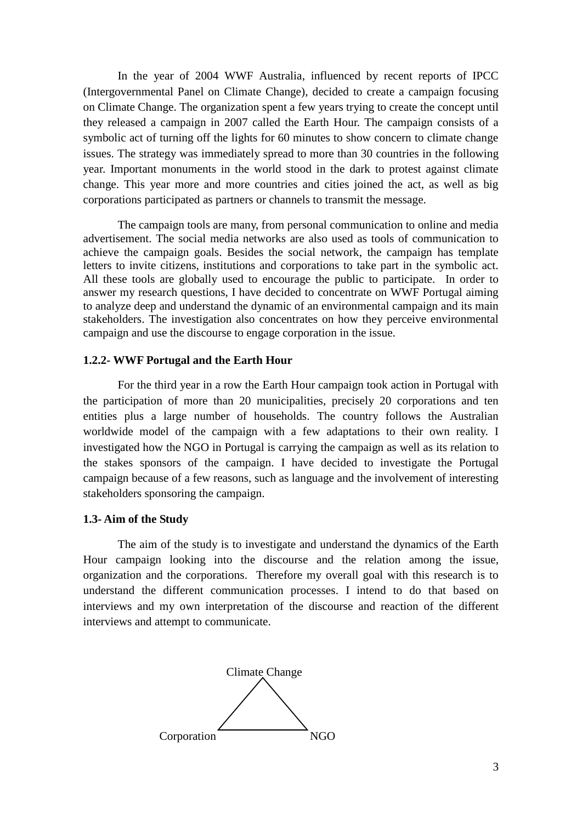In the year of 2004 WWF Australia, influenced by recent reports of IPCC (Intergovernmental Panel on Climate Change), decided to create a campaign focusing on Climate Change. The organization spent a few years trying to create the concept until they released a campaign in 2007 called the Earth Hour. The campaign consists of a symbolic act of turning off the lights for 60 minutes to show concern to climate change issues. The strategy was immediately spread to more than 30 countries in the following year. Important monuments in the world stood in the dark to protest against climate change. This year more and more countries and cities joined the act, as well as big corporations participated as partners or channels to transmit the message.

The campaign tools are many, from personal communication to online and media advertisement. The social media networks are also used as tools of communication to achieve the campaign goals. Besides the social network, the campaign has template letters to invite citizens, institutions and corporations to take part in the symbolic act. All these tools are globally used to encourage the public to participate. In order to answer my research questions, I have decided to concentrate on WWF Portugal aiming to analyze deep and understand the dynamic of an environmental campaign and its main stakeholders. The investigation also concentrates on how they perceive environmental campaign and use the discourse to engage corporation in the issue.

### **1.2.2- WWF Portugal and the Earth Hour**

For the third year in a row the Earth Hour campaign took action in Portugal with the participation of more than 20 municipalities, precisely 20 corporations and ten entities plus a large number of households. The country follows the Australian worldwide model of the campaign with a few adaptations to their own reality. I investigated how the NGO in Portugal is carrying the campaign as well as its relation to the stakes sponsors of the campaign. I have decided to investigate the Portugal campaign because of a few reasons, such as language and the involvement of interesting stakeholders sponsoring the campaign.

### **1.3- Aim of the Study**

The aim of the study is to investigate and understand the dynamics of the Earth Hour campaign looking into the discourse and the relation among the issue, organization and the corporations. Therefore my overall goal with this research is to understand the different communication processes. I intend to do that based on interviews and my own interpretation of the discourse and reaction of the different interviews and attempt to communicate.

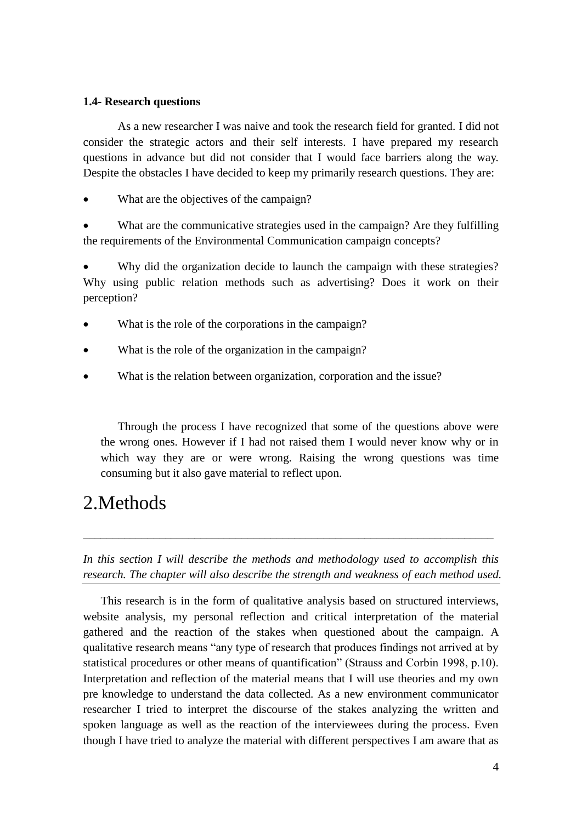## **1.4- Research questions**

As a new researcher I was naive and took the research field for granted. I did not consider the strategic actors and their self interests. I have prepared my research questions in advance but did not consider that I would face barriers along the way. Despite the obstacles I have decided to keep my primarily research questions. They are:

What are the objectives of the campaign?

 What are the communicative strategies used in the campaign? Are they fulfilling the requirements of the Environmental Communication campaign concepts?

 Why did the organization decide to launch the campaign with these strategies? Why using public relation methods such as advertising? Does it work on their perception?

- What is the role of the corporations in the campaign?
- What is the role of the organization in the campaign?
- What is the relation between organization, corporation and the issue?

Through the process I have recognized that some of the questions above were the wrong ones. However if I had not raised them I would never know why or in which way they are or were wrong. Raising the wrong questions was time consuming but it also gave material to reflect upon.

## 2.Methods

*In this section I will describe the methods and methodology used to accomplish this research. The chapter will also describe the strength and weakness of each method used.*

\_\_\_\_\_\_\_\_\_\_\_\_\_\_\_\_\_\_\_\_\_\_\_\_\_\_\_\_\_\_\_\_\_\_\_\_\_\_\_\_\_\_\_\_\_\_\_\_\_\_\_\_\_\_\_\_\_\_\_\_\_\_\_\_\_\_\_\_\_\_

This research is in the form of qualitative analysis based on structured interviews, website analysis, my personal reflection and critical interpretation of the material gathered and the reaction of the stakes when questioned about the campaign. A qualitative research means "any type of research that produces findings not arrived at by statistical procedures or other means of quantification" (Strauss and Corbin 1998, p.10). Interpretation and reflection of the material means that I will use theories and my own pre knowledge to understand the data collected. As a new environment communicator researcher I tried to interpret the discourse of the stakes analyzing the written and spoken language as well as the reaction of the interviewees during the process. Even though I have tried to analyze the material with different perspectives I am aware that as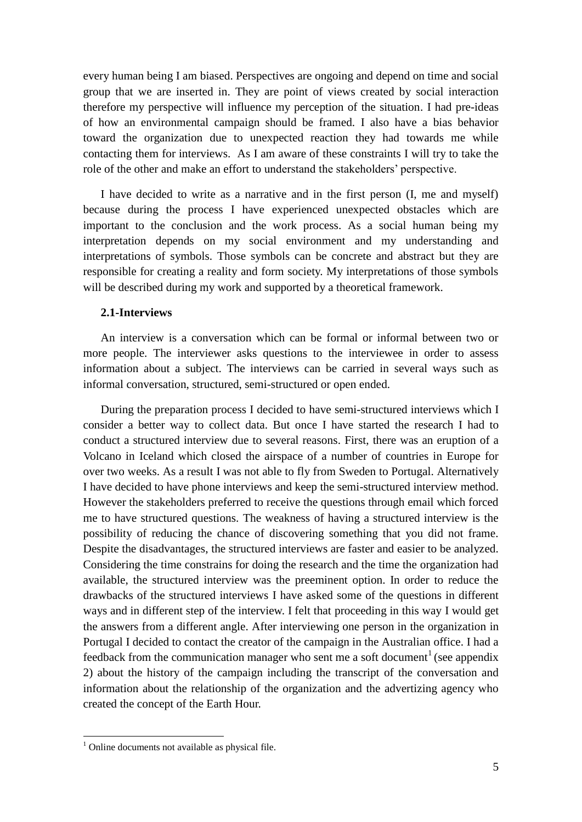every human being I am biased. Perspectives are ongoing and depend on time and social group that we are inserted in. They are point of views created by social interaction therefore my perspective will influence my perception of the situation. I had pre-ideas of how an environmental campaign should be framed. I also have a bias behavior toward the organization due to unexpected reaction they had towards me while contacting them for interviews. As I am aware of these constraints I will try to take the role of the other and make an effort to understand the stakeholders' perspective.

I have decided to write as a narrative and in the first person (I, me and myself) because during the process I have experienced unexpected obstacles which are important to the conclusion and the work process. As a social human being my interpretation depends on my social environment and my understanding and interpretations of symbols. Those symbols can be concrete and abstract but they are responsible for creating a reality and form society. My interpretations of those symbols will be described during my work and supported by a theoretical framework.

### **2.1-Interviews**

An interview is a conversation which can be formal or informal between two or more people. The interviewer asks questions to the interviewee in order to assess information about a subject. The interviews can be carried in several ways such as informal conversation, structured, semi-structured or open ended.

During the preparation process I decided to have semi-structured interviews which I consider a better way to collect data. But once I have started the research I had to conduct a structured interview due to several reasons. First, there was an eruption of a Volcano in Iceland which closed the airspace of a number of countries in Europe for over two weeks. As a result I was not able to fly from Sweden to Portugal. Alternatively I have decided to have phone interviews and keep the semi-structured interview method. However the stakeholders preferred to receive the questions through email which forced me to have structured questions. The weakness of having a structured interview is the possibility of reducing the chance of discovering something that you did not frame. Despite the disadvantages, the structured interviews are faster and easier to be analyzed. Considering the time constrains for doing the research and the time the organization had available, the structured interview was the preeminent option. In order to reduce the drawbacks of the structured interviews I have asked some of the questions in different ways and in different step of the interview. I felt that proceeding in this way I would get the answers from a different angle. After interviewing one person in the organization in Portugal I decided to contact the creator of the campaign in the Australian office. I had a feedback from the communication manager who sent me a soft document<sup>1</sup> (see appendix 2) about the history of the campaign including the transcript of the conversation and information about the relationship of the organization and the advertizing agency who created the concept of the Earth Hour.

1

 $<sup>1</sup>$  Online documents not available as physical file.</sup>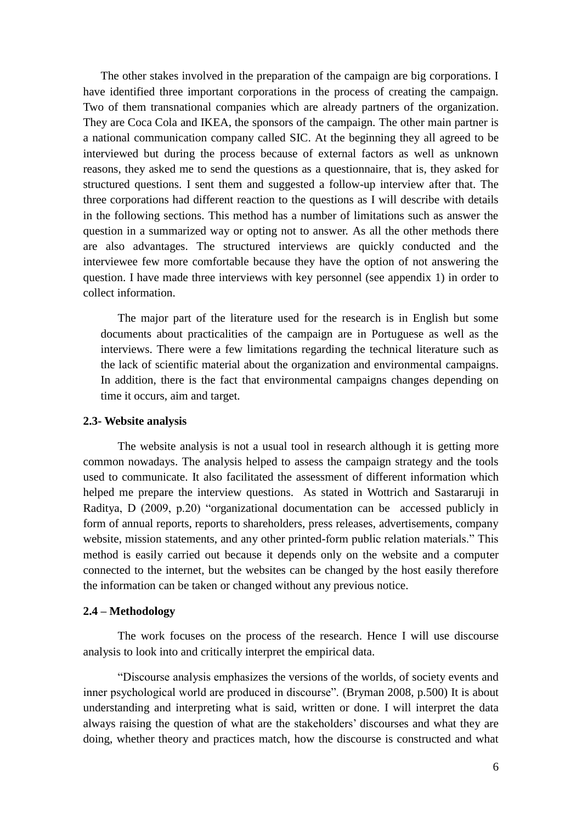The other stakes involved in the preparation of the campaign are big corporations. I have identified three important corporations in the process of creating the campaign. Two of them transnational companies which are already partners of the organization. They are Coca Cola and IKEA, the sponsors of the campaign. The other main partner is a national communication company called SIC. At the beginning they all agreed to be interviewed but during the process because of external factors as well as unknown reasons, they asked me to send the questions as a questionnaire, that is, they asked for structured questions. I sent them and suggested a follow-up interview after that. The three corporations had different reaction to the questions as I will describe with details in the following sections. This method has a number of limitations such as answer the question in a summarized way or opting not to answer. As all the other methods there are also advantages. The structured interviews are quickly conducted and the interviewee few more comfortable because they have the option of not answering the question. I have made three interviews with key personnel (see appendix 1) in order to collect information.

The major part of the literature used for the research is in English but some documents about practicalities of the campaign are in Portuguese as well as the interviews. There were a few limitations regarding the technical literature such as the lack of scientific material about the organization and environmental campaigns. In addition, there is the fact that environmental campaigns changes depending on time it occurs, aim and target.

### **2.3- Website analysis**

The website analysis is not a usual tool in research although it is getting more common nowadays. The analysis helped to assess the campaign strategy and the tools used to communicate. It also facilitated the assessment of different information which helped me prepare the interview questions. As stated in Wottrich and Sastararuji in Raditya, D (2009, p.20) "organizational documentation can be accessed publicly in form of annual reports, reports to shareholders, press releases, advertisements, company website, mission statements, and any other printed-form public relation materials." This method is easily carried out because it depends only on the website and a computer connected to the internet, but the websites can be changed by the host easily therefore the information can be taken or changed without any previous notice.

#### **2.4 – Methodology**

The work focuses on the process of the research. Hence I will use discourse analysis to look into and critically interpret the empirical data.

"Discourse analysis emphasizes the versions of the worlds, of society events and inner psychological world are produced in discourse". (Bryman 2008, p.500) It is about understanding and interpreting what is said, written or done. I will interpret the data always raising the question of what are the stakeholders" discourses and what they are doing, whether theory and practices match, how the discourse is constructed and what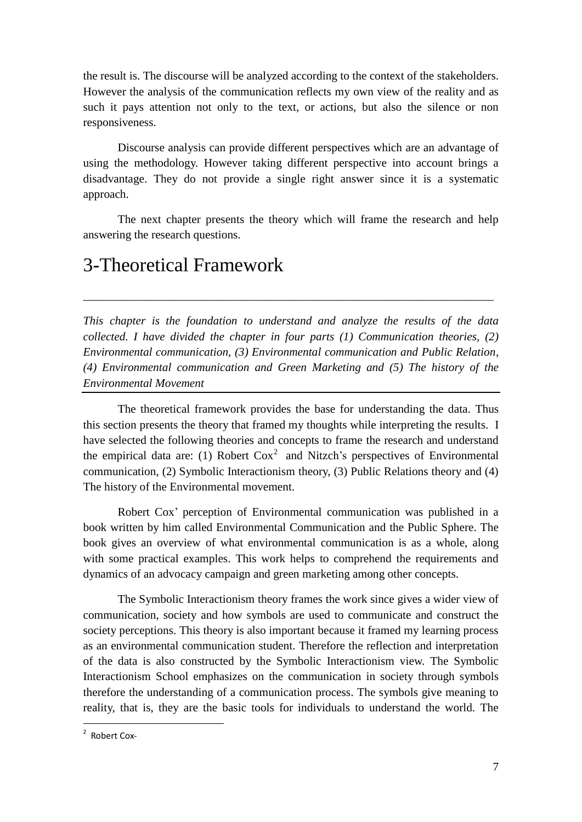the result is. The discourse will be analyzed according to the context of the stakeholders. However the analysis of the communication reflects my own view of the reality and as such it pays attention not only to the text, or actions, but also the silence or non responsiveness.

Discourse analysis can provide different perspectives which are an advantage of using the methodology. However taking different perspective into account brings a disadvantage. They do not provide a single right answer since it is a systematic approach.

The next chapter presents the theory which will frame the research and help answering the research questions.

## 3-Theoretical Framework

*This chapter is the foundation to understand and analyze the results of the data collected. I have divided the chapter in four parts (1) Communication theories, (2) Environmental communication, (3) Environmental communication and Public Relation, (4) Environmental communication and Green Marketing and (5) The history of the Environmental Movement*

\_\_\_\_\_\_\_\_\_\_\_\_\_\_\_\_\_\_\_\_\_\_\_\_\_\_\_\_\_\_\_\_\_\_\_\_\_\_\_\_\_\_\_\_\_\_\_\_\_\_\_\_\_\_\_\_\_\_\_\_\_\_\_\_\_\_\_\_\_\_

The theoretical framework provides the base for understanding the data. Thus this section presents the theory that framed my thoughts while interpreting the results. I have selected the following theories and concepts to frame the research and understand the empirical data are: (1) Robert  $Cox<sup>2</sup>$  and Nitzch's perspectives of Environmental communication, (2) Symbolic Interactionism theory, (3) Public Relations theory and (4) The history of the Environmental movement.

Robert Cox" perception of Environmental communication was published in a book written by him called Environmental Communication and the Public Sphere. The book gives an overview of what environmental communication is as a whole, along with some practical examples. This work helps to comprehend the requirements and dynamics of an advocacy campaign and green marketing among other concepts.

The Symbolic Interactionism theory frames the work since gives a wider view of communication, society and how symbols are used to communicate and construct the society perceptions. This theory is also important because it framed my learning process as an environmental communication student. Therefore the reflection and interpretation of the data is also constructed by the Symbolic Interactionism view. The Symbolic Interactionism School emphasizes on the communication in society through symbols therefore the understanding of a communication process. The symbols give meaning to reality, that is, they are the basic tools for individuals to understand the world. The

<sup>&</sup>lt;u>2</u><br>Robert Cox-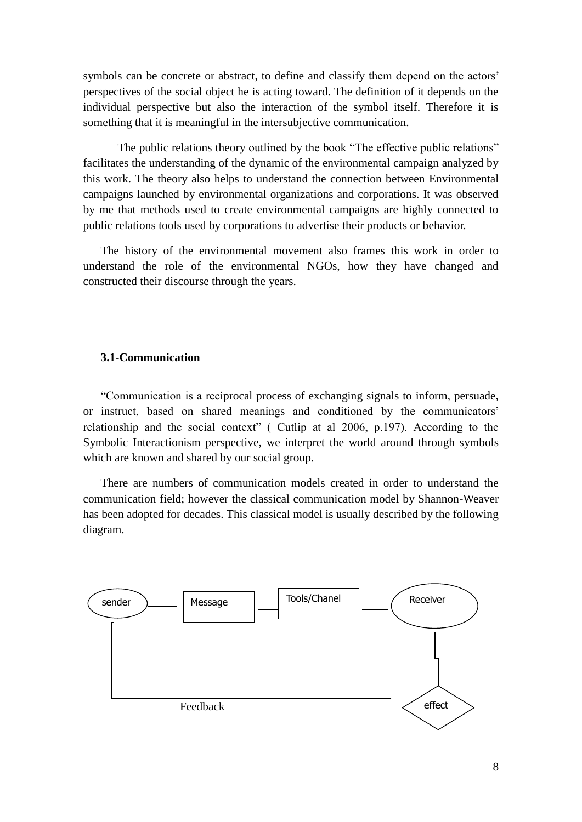symbols can be concrete or abstract, to define and classify them depend on the actors' perspectives of the social object he is acting toward. The definition of it depends on the individual perspective but also the interaction of the symbol itself. Therefore it is something that it is meaningful in the intersubjective communication.

The public relations theory outlined by the book "The effective public relations" facilitates the understanding of the dynamic of the environmental campaign analyzed by this work. The theory also helps to understand the connection between Environmental campaigns launched by environmental organizations and corporations. It was observed by me that methods used to create environmental campaigns are highly connected to public relations tools used by corporations to advertise their products or behavior.

The history of the environmental movement also frames this work in order to understand the role of the environmental NGOs, how they have changed and constructed their discourse through the years.

## **3.1-Communication**

"Communication is a reciprocal process of exchanging signals to inform, persuade, or instruct, based on shared meanings and conditioned by the communicators" relationship and the social context" ( Cutlip at al 2006, p.197). According to the Symbolic Interactionism perspective, we interpret the world around through symbols which are known and shared by our social group.

There are numbers of communication models created in order to understand the communication field; however the classical communication model by Shannon-Weaver has been adopted for decades. This classical model is usually described by the following diagram.

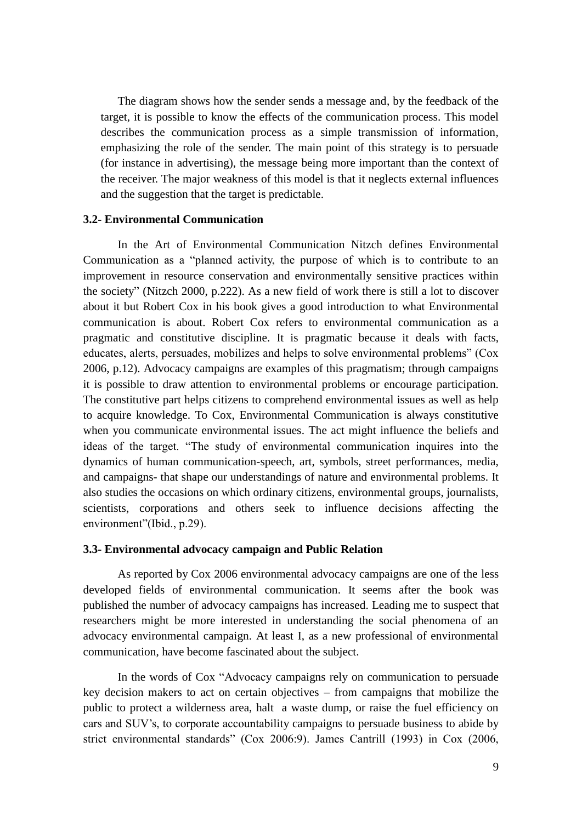The diagram shows how the sender sends a message and, by the feedback of the target, it is possible to know the effects of the communication process. This model describes the communication process as a simple transmission of information, emphasizing the role of the sender. The main point of this strategy is to persuade (for instance in advertising), the message being more important than the context of the receiver. The major weakness of this model is that it neglects external influences and the suggestion that the target is predictable.

### **3.2- Environmental Communication**

In the Art of Environmental Communication Nitzch defines Environmental Communication as a "planned activity, the purpose of which is to contribute to an improvement in resource conservation and environmentally sensitive practices within the society" (Nitzch 2000, p.222). As a new field of work there is still a lot to discover about it but Robert Cox in his book gives a good introduction to what Environmental communication is about. Robert Cox refers to environmental communication as a pragmatic and constitutive discipline. It is pragmatic because it deals with facts, educates, alerts, persuades, mobilizes and helps to solve environmental problems" (Cox 2006, p.12). Advocacy campaigns are examples of this pragmatism; through campaigns it is possible to draw attention to environmental problems or encourage participation. The constitutive part helps citizens to comprehend environmental issues as well as help to acquire knowledge. To Cox, Environmental Communication is always constitutive when you communicate environmental issues. The act might influence the beliefs and ideas of the target. "The study of environmental communication inquires into the dynamics of human communication-speech, art, symbols, street performances, media, and campaigns- that shape our understandings of nature and environmental problems. It also studies the occasions on which ordinary citizens, environmental groups, journalists, scientists, corporations and others seek to influence decisions affecting the environment"(Ibid., p.29).

### **3.3- Environmental advocacy campaign and Public Relation**

As reported by Cox 2006 environmental advocacy campaigns are one of the less developed fields of environmental communication. It seems after the book was published the number of advocacy campaigns has increased. Leading me to suspect that researchers might be more interested in understanding the social phenomena of an advocacy environmental campaign. At least I, as a new professional of environmental communication, have become fascinated about the subject.

In the words of Cox "Advocacy campaigns rely on communication to persuade key decision makers to act on certain objectives – from campaigns that mobilize the public to protect a wilderness area, halt a waste dump, or raise the fuel efficiency on cars and SUV"s, to corporate accountability campaigns to persuade business to abide by strict environmental standards" (Cox 2006:9). James Cantrill (1993) in Cox (2006,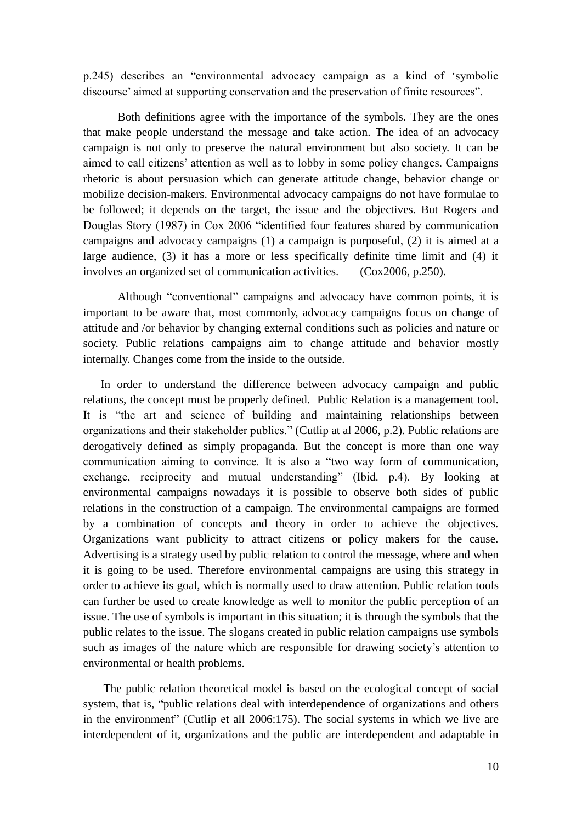p.245) describes an "environmental advocacy campaign as a kind of "symbolic discourse' aimed at supporting conservation and the preservation of finite resources".

Both definitions agree with the importance of the symbols. They are the ones that make people understand the message and take action. The idea of an advocacy campaign is not only to preserve the natural environment but also society. It can be aimed to call citizens" attention as well as to lobby in some policy changes. Campaigns rhetoric is about persuasion which can generate attitude change, behavior change or mobilize decision-makers. Environmental advocacy campaigns do not have formulae to be followed; it depends on the target, the issue and the objectives. But Rogers and Douglas Story (1987) in Cox 2006 "identified four features shared by communication campaigns and advocacy campaigns (1) a campaign is purposeful, (2) it is aimed at a large audience, (3) it has a more or less specifically definite time limit and (4) it involves an organized set of communication activities. (Cox2006, p.250).

Although "conventional" campaigns and advocacy have common points, it is important to be aware that, most commonly, advocacy campaigns focus on change of attitude and /or behavior by changing external conditions such as policies and nature or society. Public relations campaigns aim to change attitude and behavior mostly internally. Changes come from the inside to the outside.

In order to understand the difference between advocacy campaign and public relations, the concept must be properly defined. Public Relation is a management tool. It is "the art and science of building and maintaining relationships between organizations and their stakeholder publics." (Cutlip at al 2006, p.2). Public relations are derogatively defined as simply propaganda. But the concept is more than one way communication aiming to convince. It is also a "two way form of communication, exchange, reciprocity and mutual understanding" (Ibid. p.4). By looking at environmental campaigns nowadays it is possible to observe both sides of public relations in the construction of a campaign. The environmental campaigns are formed by a combination of concepts and theory in order to achieve the objectives. Organizations want publicity to attract citizens or policy makers for the cause. Advertising is a strategy used by public relation to control the message, where and when it is going to be used. Therefore environmental campaigns are using this strategy in order to achieve its goal, which is normally used to draw attention. Public relation tools can further be used to create knowledge as well to monitor the public perception of an issue. The use of symbols is important in this situation; it is through the symbols that the public relates to the issue. The slogans created in public relation campaigns use symbols such as images of the nature which are responsible for drawing society's attention to environmental or health problems.

The public relation theoretical model is based on the ecological concept of social system, that is, "public relations deal with interdependence of organizations and others in the environment" (Cutlip et all 2006:175). The social systems in which we live are interdependent of it, organizations and the public are interdependent and adaptable in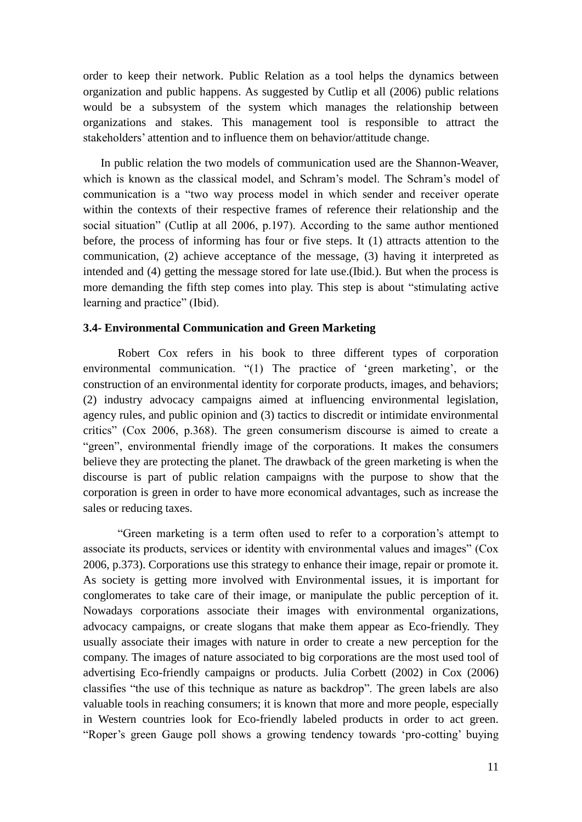order to keep their network. Public Relation as a tool helps the dynamics between organization and public happens. As suggested by Cutlip et all (2006) public relations would be a subsystem of the system which manages the relationship between organizations and stakes. This management tool is responsible to attract the stakeholders' attention and to influence them on behavior/attitude change.

In public relation the two models of communication used are the Shannon-Weaver, which is known as the classical model, and Schram's model. The Schram's model of communication is a "two way process model in which sender and receiver operate within the contexts of their respective frames of reference their relationship and the social situation" (Cutlip at all 2006, p.197). According to the same author mentioned before, the process of informing has four or five steps. It (1) attracts attention to the communication, (2) achieve acceptance of the message, (3) having it interpreted as intended and (4) getting the message stored for late use.(Ibid.). But when the process is more demanding the fifth step comes into play. This step is about "stimulating active learning and practice" (Ibid).

### **3.4- Environmental Communication and Green Marketing**

Robert Cox refers in his book to three different types of corporation environmental communication. "(1) The practice of 'green marketing', or the construction of an environmental identity for corporate products, images, and behaviors; (2) industry advocacy campaigns aimed at influencing environmental legislation, agency rules, and public opinion and (3) tactics to discredit or intimidate environmental critics" (Cox 2006, p.368). The green consumerism discourse is aimed to create a "green", environmental friendly image of the corporations. It makes the consumers believe they are protecting the planet. The drawback of the green marketing is when the discourse is part of public relation campaigns with the purpose to show that the corporation is green in order to have more economical advantages, such as increase the sales or reducing taxes.

"Green marketing is a term often used to refer to a corporation"s attempt to associate its products, services or identity with environmental values and images" (Cox 2006, p.373). Corporations use this strategy to enhance their image, repair or promote it. As society is getting more involved with Environmental issues, it is important for conglomerates to take care of their image, or manipulate the public perception of it. Nowadays corporations associate their images with environmental organizations, advocacy campaigns, or create slogans that make them appear as Eco-friendly. They usually associate their images with nature in order to create a new perception for the company. The images of nature associated to big corporations are the most used tool of advertising Eco-friendly campaigns or products. Julia Corbett (2002) in Cox (2006) classifies "the use of this technique as nature as backdrop". The green labels are also valuable tools in reaching consumers; it is known that more and more people, especially in Western countries look for Eco-friendly labeled products in order to act green. "Roper's green Gauge poll shows a growing tendency towards 'pro-cotting' buying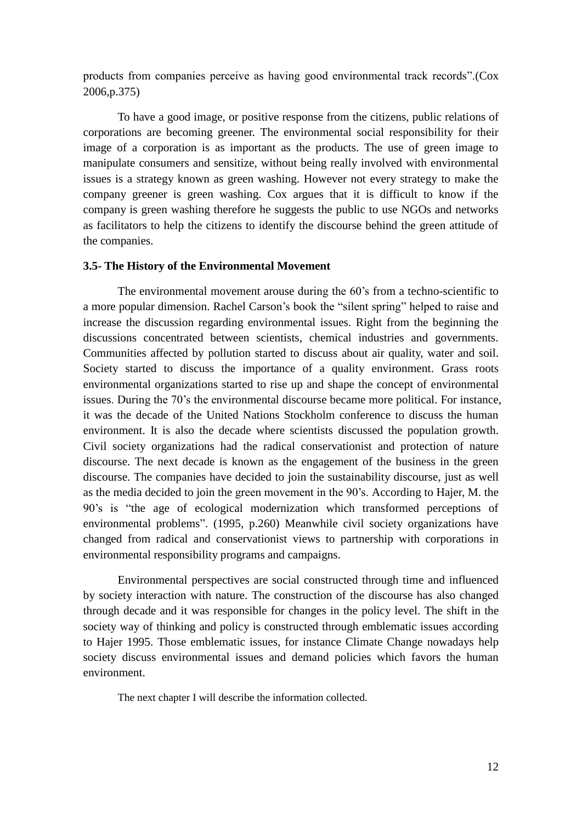products from companies perceive as having good environmental track records".(Cox 2006,p.375)

To have a good image, or positive response from the citizens, public relations of corporations are becoming greener. The environmental social responsibility for their image of a corporation is as important as the products. The use of green image to manipulate consumers and sensitize, without being really involved with environmental issues is a strategy known as green washing. However not every strategy to make the company greener is green washing. Cox argues that it is difficult to know if the company is green washing therefore he suggests the public to use NGOs and networks as facilitators to help the citizens to identify the discourse behind the green attitude of the companies.

### **3.5- The History of the Environmental Movement**

The environmental movement arouse during the 60"s from a techno-scientific to a more popular dimension. Rachel Carson"s book the "silent spring" helped to raise and increase the discussion regarding environmental issues. Right from the beginning the discussions concentrated between scientists, chemical industries and governments. Communities affected by pollution started to discuss about air quality, water and soil. Society started to discuss the importance of a quality environment. Grass roots environmental organizations started to rise up and shape the concept of environmental issues. During the 70"s the environmental discourse became more political. For instance, it was the decade of the United Nations Stockholm conference to discuss the human environment. It is also the decade where scientists discussed the population growth. Civil society organizations had the radical conservationist and protection of nature discourse. The next decade is known as the engagement of the business in the green discourse. The companies have decided to join the sustainability discourse, just as well as the media decided to join the green movement in the 90"s. According to Hajer, M. the 90"s is "the age of ecological modernization which transformed perceptions of environmental problems". (1995, p.260) Meanwhile civil society organizations have changed from radical and conservationist views to partnership with corporations in environmental responsibility programs and campaigns.

Environmental perspectives are social constructed through time and influenced by society interaction with nature. The construction of the discourse has also changed through decade and it was responsible for changes in the policy level. The shift in the society way of thinking and policy is constructed through emblematic issues according to Hajer 1995. Those emblematic issues, for instance Climate Change nowadays help society discuss environmental issues and demand policies which favors the human environment.

The next chapter I will describe the information collected.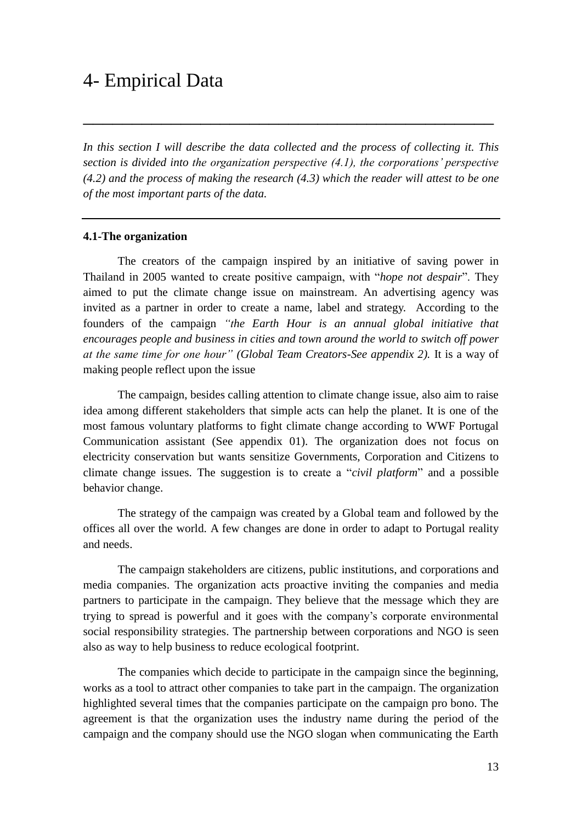## 4- Empirical Data

*In this section I will describe the data collected and the process of collecting it. This section is divided into the organization perspective (4.1), the corporations" perspective (4.2) and the process of making the research (4.3) which the reader will attest to be one of the most important parts of the data.* 

\_\_\_\_\_\_\_\_\_\_\_\_\_\_\_\_\_\_\_\_\_\_\_\_\_\_\_\_\_\_\_\_\_\_\_\_\_\_\_\_\_\_

### **4.1-The organization**

The creators of the campaign inspired by an initiative of saving power in Thailand in 2005 wanted to create positive campaign, with "*hope not despair*". They aimed to put the climate change issue on mainstream. An advertising agency was invited as a partner in order to create a name, label and strategy. According to the founders of the campaign *"the Earth Hour is an annual global initiative that encourages people and business in cities and town around the world to switch off power at the same time for one hour" (Global Team Creators-See appendix 2).* It is a way of making people reflect upon the issue

The campaign, besides calling attention to climate change issue, also aim to raise idea among different stakeholders that simple acts can help the planet. It is one of the most famous voluntary platforms to fight climate change according to WWF Portugal Communication assistant (See appendix 01). The organization does not focus on electricity conservation but wants sensitize Governments, Corporation and Citizens to climate change issues. The suggestion is to create a "*civil platform*" and a possible behavior change.

The strategy of the campaign was created by a Global team and followed by the offices all over the world. A few changes are done in order to adapt to Portugal reality and needs.

The campaign stakeholders are citizens, public institutions, and corporations and media companies. The organization acts proactive inviting the companies and media partners to participate in the campaign. They believe that the message which they are trying to spread is powerful and it goes with the company"s corporate environmental social responsibility strategies. The partnership between corporations and NGO is seen also as way to help business to reduce ecological footprint.

The companies which decide to participate in the campaign since the beginning, works as a tool to attract other companies to take part in the campaign. The organization highlighted several times that the companies participate on the campaign pro bono. The agreement is that the organization uses the industry name during the period of the campaign and the company should use the NGO slogan when communicating the Earth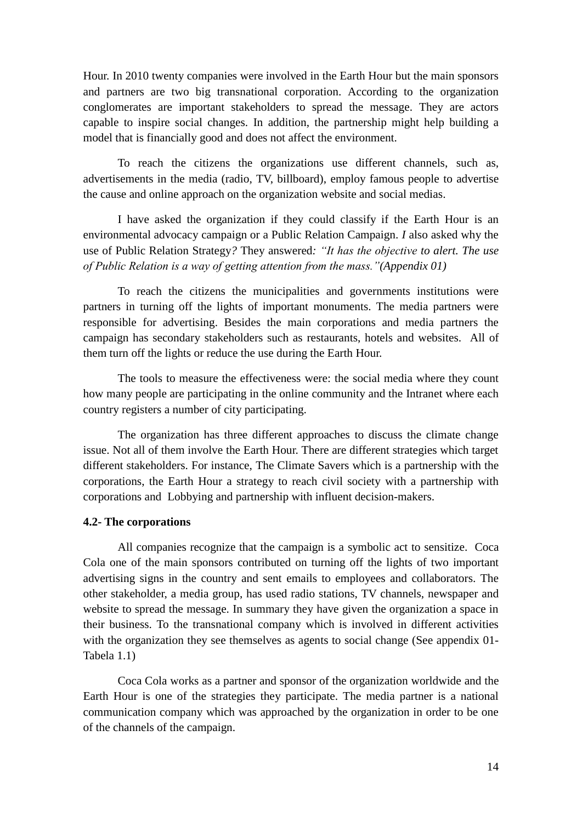Hour. In 2010 twenty companies were involved in the Earth Hour but the main sponsors and partners are two big transnational corporation. According to the organization conglomerates are important stakeholders to spread the message. They are actors capable to inspire social changes. In addition, the partnership might help building a model that is financially good and does not affect the environment.

To reach the citizens the organizations use different channels, such as, advertisements in the media (radio, TV, billboard), employ famous people to advertise the cause and online approach on the organization website and social medias.

I have asked the organization if they could classify if the Earth Hour is an environmental advocacy campaign or a Public Relation Campaign. *I* also asked why the use of Public Relation Strategy*?* They answered*: "It has the objective to alert. The use of Public Relation is a way of getting attention from the mass."(Appendix 01)*

To reach the citizens the municipalities and governments institutions were partners in turning off the lights of important monuments. The media partners were responsible for advertising. Besides the main corporations and media partners the campaign has secondary stakeholders such as restaurants, hotels and websites. All of them turn off the lights or reduce the use during the Earth Hour.

The tools to measure the effectiveness were: the social media where they count how many people are participating in the online community and the Intranet where each country registers a number of city participating.

The organization has three different approaches to discuss the climate change issue. Not all of them involve the Earth Hour. There are different strategies which target different stakeholders. For instance, The Climate Savers which is a partnership with the corporations, the Earth Hour a strategy to reach civil society with a partnership with corporations and Lobbying and partnership with influent decision-makers.

### **4.2- The corporations**

All companies recognize that the campaign is a symbolic act to sensitize. Coca Cola one of the main sponsors contributed on turning off the lights of two important advertising signs in the country and sent emails to employees and collaborators. The other stakeholder, a media group, has used radio stations, TV channels, newspaper and website to spread the message. In summary they have given the organization a space in their business. To the transnational company which is involved in different activities with the organization they see themselves as agents to social change (See appendix 01-Tabela 1.1)

Coca Cola works as a partner and sponsor of the organization worldwide and the Earth Hour is one of the strategies they participate. The media partner is a national communication company which was approached by the organization in order to be one of the channels of the campaign.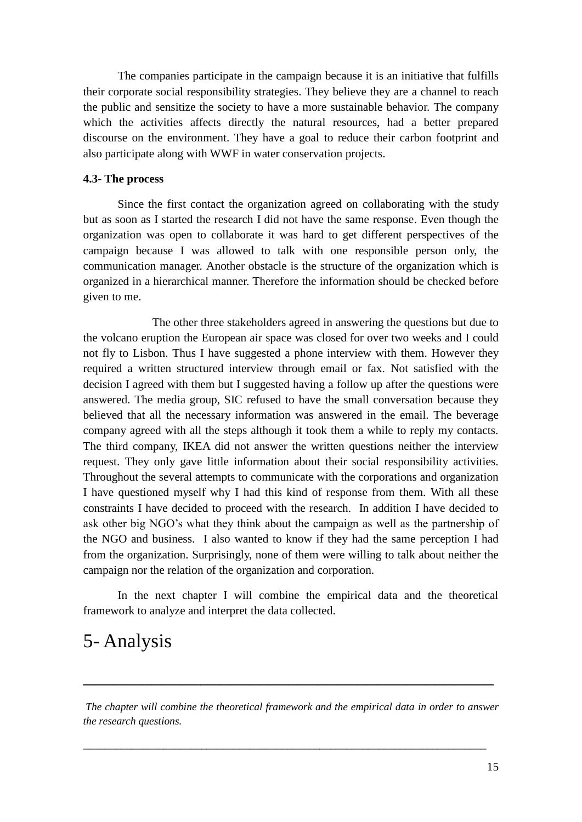The companies participate in the campaign because it is an initiative that fulfills their corporate social responsibility strategies. They believe they are a channel to reach the public and sensitize the society to have a more sustainable behavior. The company which the activities affects directly the natural resources, had a better prepared discourse on the environment. They have a goal to reduce their carbon footprint and also participate along with WWF in water conservation projects.

### **4.3- The process**

Since the first contact the organization agreed on collaborating with the study but as soon as I started the research I did not have the same response. Even though the organization was open to collaborate it was hard to get different perspectives of the campaign because I was allowed to talk with one responsible person only, the communication manager. Another obstacle is the structure of the organization which is organized in a hierarchical manner. Therefore the information should be checked before given to me.

The other three stakeholders agreed in answering the questions but due to the volcano eruption the European air space was closed for over two weeks and I could not fly to Lisbon. Thus I have suggested a phone interview with them. However they required a written structured interview through email or fax. Not satisfied with the decision I agreed with them but I suggested having a follow up after the questions were answered. The media group, SIC refused to have the small conversation because they believed that all the necessary information was answered in the email. The beverage company agreed with all the steps although it took them a while to reply my contacts. The third company, IKEA did not answer the written questions neither the interview request. They only gave little information about their social responsibility activities. Throughout the several attempts to communicate with the corporations and organization I have questioned myself why I had this kind of response from them. With all these constraints I have decided to proceed with the research. In addition I have decided to ask other big NGO"s what they think about the campaign as well as the partnership of the NGO and business. I also wanted to know if they had the same perception I had from the organization. Surprisingly, none of them were willing to talk about neither the campaign nor the relation of the organization and corporation.

In the next chapter I will combine the empirical data and the theoretical framework to analyze and interpret the data collected.

## 5- Analysis

*The chapter will combine the theoretical framework and the empirical data in order to answer the research questions.*

*\_\_\_\_\_\_\_\_\_\_\_\_\_\_\_\_\_\_\_\_\_\_\_\_\_\_\_\_\_\_\_\_\_\_\_\_\_\_\_\_\_\_\_\_\_\_\_\_\_\_\_\_\_\_\_\_\_\_\_\_\_\_\_\_\_\_\_\_\_\_\_\_\_\_\_*

\_\_\_\_\_\_\_\_\_\_\_\_\_\_\_\_\_\_\_\_\_\_\_\_\_\_\_\_\_\_\_\_\_\_\_\_\_\_\_\_\_\_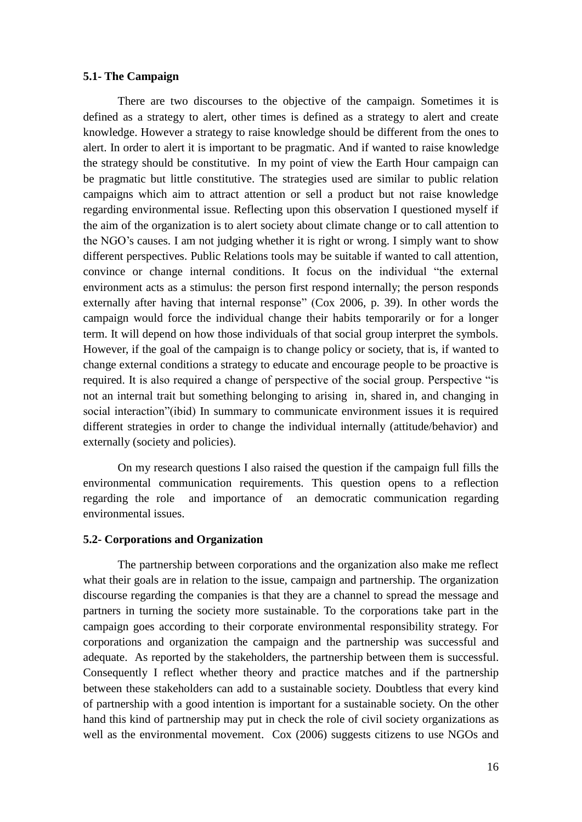### **5.1- The Campaign**

There are two discourses to the objective of the campaign. Sometimes it is defined as a strategy to alert, other times is defined as a strategy to alert and create knowledge. However a strategy to raise knowledge should be different from the ones to alert. In order to alert it is important to be pragmatic. And if wanted to raise knowledge the strategy should be constitutive. In my point of view the Earth Hour campaign can be pragmatic but little constitutive. The strategies used are similar to public relation campaigns which aim to attract attention or sell a product but not raise knowledge regarding environmental issue. Reflecting upon this observation I questioned myself if the aim of the organization is to alert society about climate change or to call attention to the NGO"s causes. I am not judging whether it is right or wrong. I simply want to show different perspectives. Public Relations tools may be suitable if wanted to call attention, convince or change internal conditions. It focus on the individual "the external environment acts as a stimulus: the person first respond internally; the person responds externally after having that internal response" (Cox 2006, p. 39). In other words the campaign would force the individual change their habits temporarily or for a longer term. It will depend on how those individuals of that social group interpret the symbols. However, if the goal of the campaign is to change policy or society, that is, if wanted to change external conditions a strategy to educate and encourage people to be proactive is required. It is also required a change of perspective of the social group. Perspective "is not an internal trait but something belonging to arising in, shared in, and changing in social interaction"(ibid) In summary to communicate environment issues it is required different strategies in order to change the individual internally (attitude/behavior) and externally (society and policies).

On my research questions I also raised the question if the campaign full fills the environmental communication requirements. This question opens to a reflection regarding the role and importance of an democratic communication regarding environmental issues.

### **5.2- Corporations and Organization**

The partnership between corporations and the organization also make me reflect what their goals are in relation to the issue, campaign and partnership. The organization discourse regarding the companies is that they are a channel to spread the message and partners in turning the society more sustainable. To the corporations take part in the campaign goes according to their corporate environmental responsibility strategy. For corporations and organization the campaign and the partnership was successful and adequate. As reported by the stakeholders, the partnership between them is successful. Consequently I reflect whether theory and practice matches and if the partnership between these stakeholders can add to a sustainable society. Doubtless that every kind of partnership with a good intention is important for a sustainable society. On the other hand this kind of partnership may put in check the role of civil society organizations as well as the environmental movement. Cox (2006) suggests citizens to use NGOs and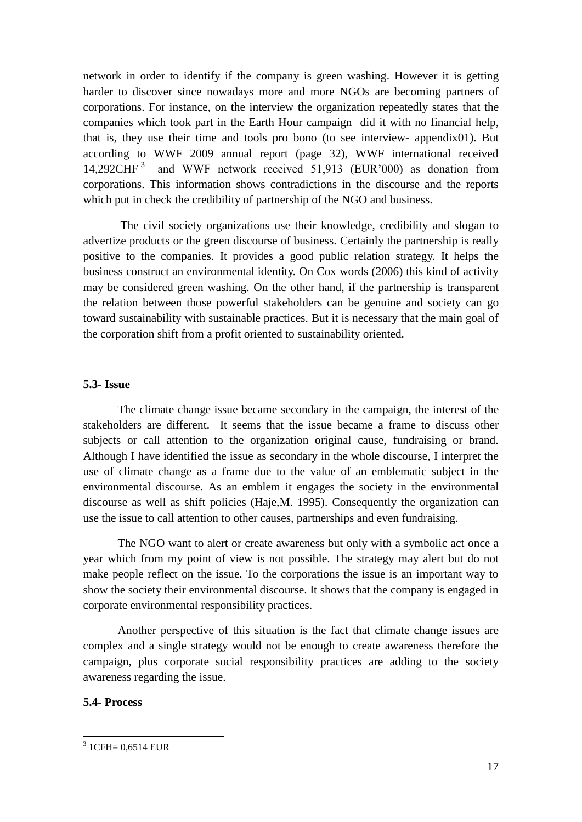network in order to identify if the company is green washing. However it is getting harder to discover since nowadays more and more NGOs are becoming partners of corporations. For instance, on the interview the organization repeatedly states that the companies which took part in the Earth Hour campaign did it with no financial help, that is, they use their time and tools pro bono (to see interview- appendix01). But according to WWF 2009 annual report (page 32), WWF international received 14,292CHF<sup>3</sup> and WWF network received 51,913 (EUR'000) as donation from corporations. This information shows contradictions in the discourse and the reports which put in check the credibility of partnership of the NGO and business.

The civil society organizations use their knowledge, credibility and slogan to advertize products or the green discourse of business. Certainly the partnership is really positive to the companies. It provides a good public relation strategy. It helps the business construct an environmental identity. On Cox words (2006) this kind of activity may be considered green washing. On the other hand, if the partnership is transparent the relation between those powerful stakeholders can be genuine and society can go toward sustainability with sustainable practices. But it is necessary that the main goal of the corporation shift from a profit oriented to sustainability oriented.

### **5.3- Issue**

The climate change issue became secondary in the campaign, the interest of the stakeholders are different. It seems that the issue became a frame to discuss other subjects or call attention to the organization original cause, fundraising or brand. Although I have identified the issue as secondary in the whole discourse, I interpret the use of climate change as a frame due to the value of an emblematic subject in the environmental discourse. As an emblem it engages the society in the environmental discourse as well as shift policies (Haje,M. 1995). Consequently the organization can use the issue to call attention to other causes, partnerships and even fundraising.

The NGO want to alert or create awareness but only with a symbolic act once a year which from my point of view is not possible. The strategy may alert but do not make people reflect on the issue. To the corporations the issue is an important way to show the society their environmental discourse. It shows that the company is engaged in corporate environmental responsibility practices.

Another perspective of this situation is the fact that climate change issues are complex and a single strategy would not be enough to create awareness therefore the campaign, plus corporate social responsibility practices are adding to the society awareness regarding the issue.

## **5.4- Process**

1

 $3$  1 CFH = 0,6514 EUR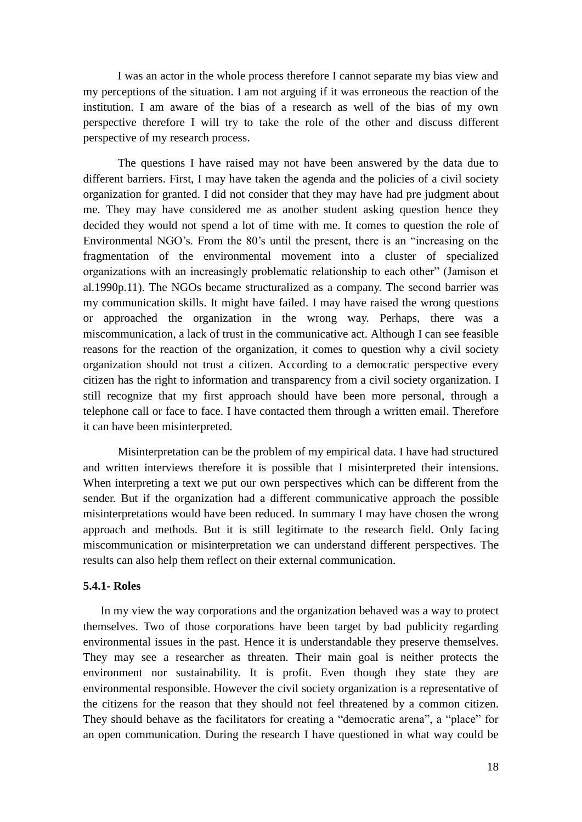I was an actor in the whole process therefore I cannot separate my bias view and my perceptions of the situation. I am not arguing if it was erroneous the reaction of the institution. I am aware of the bias of a research as well of the bias of my own perspective therefore I will try to take the role of the other and discuss different perspective of my research process.

The questions I have raised may not have been answered by the data due to different barriers. First, I may have taken the agenda and the policies of a civil society organization for granted. I did not consider that they may have had pre judgment about me. They may have considered me as another student asking question hence they decided they would not spend a lot of time with me. It comes to question the role of Environmental NGO's. From the 80's until the present, there is an "increasing on the fragmentation of the environmental movement into a cluster of specialized organizations with an increasingly problematic relationship to each other" (Jamison et al.1990p.11). The NGOs became structuralized as a company. The second barrier was my communication skills. It might have failed. I may have raised the wrong questions or approached the organization in the wrong way. Perhaps, there was a miscommunication, a lack of trust in the communicative act. Although I can see feasible reasons for the reaction of the organization, it comes to question why a civil society organization should not trust a citizen. According to a democratic perspective every citizen has the right to information and transparency from a civil society organization. I still recognize that my first approach should have been more personal, through a telephone call or face to face. I have contacted them through a written email. Therefore it can have been misinterpreted.

Misinterpretation can be the problem of my empirical data. I have had structured and written interviews therefore it is possible that I misinterpreted their intensions. When interpreting a text we put our own perspectives which can be different from the sender. But if the organization had a different communicative approach the possible misinterpretations would have been reduced. In summary I may have chosen the wrong approach and methods. But it is still legitimate to the research field. Only facing miscommunication or misinterpretation we can understand different perspectives. The results can also help them reflect on their external communication.

### **5.4.1- Roles**

In my view the way corporations and the organization behaved was a way to protect themselves. Two of those corporations have been target by bad publicity regarding environmental issues in the past. Hence it is understandable they preserve themselves. They may see a researcher as threaten. Their main goal is neither protects the environment nor sustainability. It is profit. Even though they state they are environmental responsible. However the civil society organization is a representative of the citizens for the reason that they should not feel threatened by a common citizen. They should behave as the facilitators for creating a "democratic arena", a "place" for an open communication. During the research I have questioned in what way could be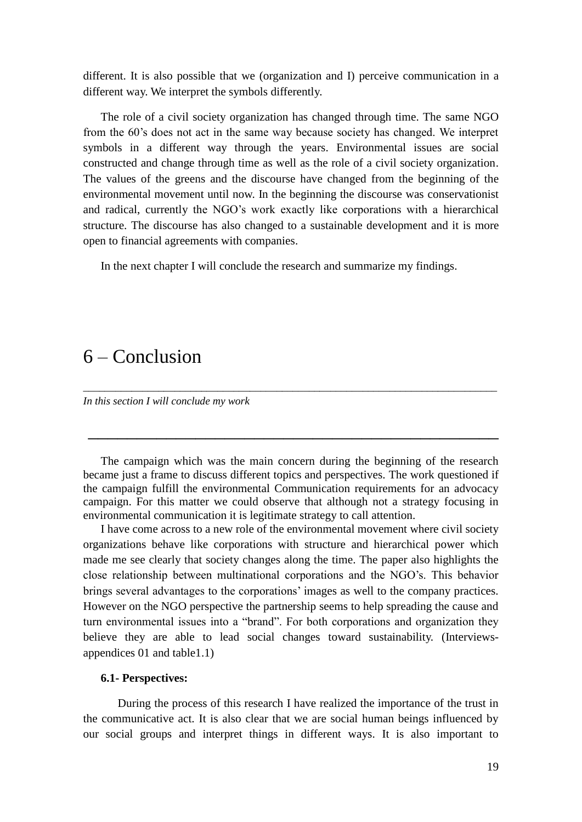different. It is also possible that we (organization and I) perceive communication in a different way. We interpret the symbols differently.

The role of a civil society organization has changed through time. The same NGO from the 60"s does not act in the same way because society has changed. We interpret symbols in a different way through the years. Environmental issues are social constructed and change through time as well as the role of a civil society organization. The values of the greens and the discourse have changed from the beginning of the environmental movement until now. In the beginning the discourse was conservationist and radical, currently the NGO"s work exactly like corporations with a hierarchical structure. The discourse has also changed to a sustainable development and it is more open to financial agreements with companies.

In the next chapter I will conclude the research and summarize my findings.

## 6 – Conclusion

*In this section I will conclude my work*

The campaign which was the main concern during the beginning of the research became just a frame to discuss different topics and perspectives. The work questioned if the campaign fulfill the environmental Communication requirements for an advocacy campaign. For this matter we could observe that although not a strategy focusing in environmental communication it is legitimate strategy to call attention.

*\_\_\_\_\_\_\_\_\_\_\_\_\_\_\_\_\_\_\_\_\_\_\_\_\_\_\_\_\_\_\_\_\_\_\_\_\_\_\_\_\_\_\_\_\_\_\_\_\_\_\_\_\_\_\_\_\_\_\_\_\_\_\_\_\_\_\_\_\_\_\_\_\_\_\_\_\_* 

 $\overline{\phantom{a}}$  , and the contract of the contract of the contract of the contract of the contract of the contract of the contract of the contract of the contract of the contract of the contract of the contract of the contrac

I have come across to a new role of the environmental movement where civil society organizations behave like corporations with structure and hierarchical power which made me see clearly that society changes along the time. The paper also highlights the close relationship between multinational corporations and the NGO"s. This behavior brings several advantages to the corporations' images as well to the company practices. However on the NGO perspective the partnership seems to help spreading the cause and turn environmental issues into a "brand". For both corporations and organization they believe they are able to lead social changes toward sustainability. (Interviewsappendices 01 and table1.1)

### **6.1- Perspectives:**

During the process of this research I have realized the importance of the trust in the communicative act. It is also clear that we are social human beings influenced by our social groups and interpret things in different ways. It is also important to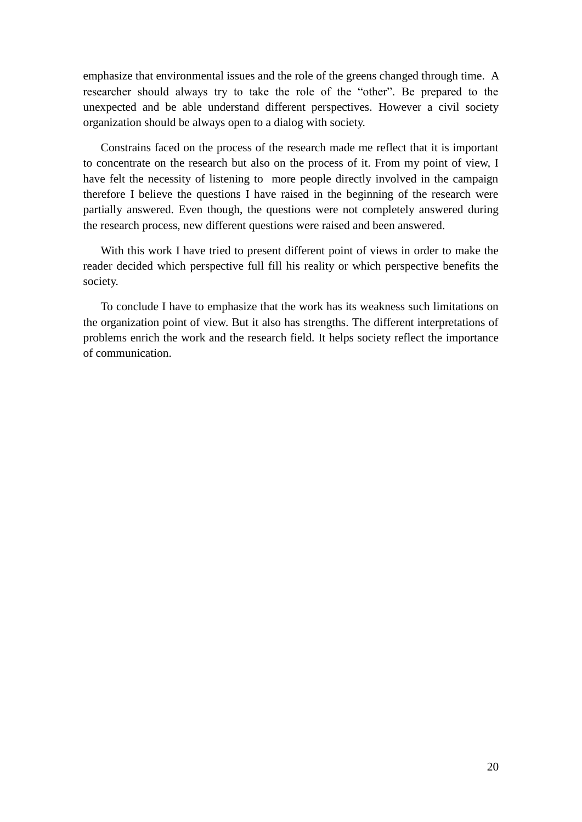emphasize that environmental issues and the role of the greens changed through time. A researcher should always try to take the role of the "other". Be prepared to the unexpected and be able understand different perspectives. However a civil society organization should be always open to a dialog with society.

Constrains faced on the process of the research made me reflect that it is important to concentrate on the research but also on the process of it. From my point of view, I have felt the necessity of listening to more people directly involved in the campaign therefore I believe the questions I have raised in the beginning of the research were partially answered. Even though, the questions were not completely answered during the research process, new different questions were raised and been answered.

With this work I have tried to present different point of views in order to make the reader decided which perspective full fill his reality or which perspective benefits the society.

To conclude I have to emphasize that the work has its weakness such limitations on the organization point of view. But it also has strengths. The different interpretations of problems enrich the work and the research field. It helps society reflect the importance of communication.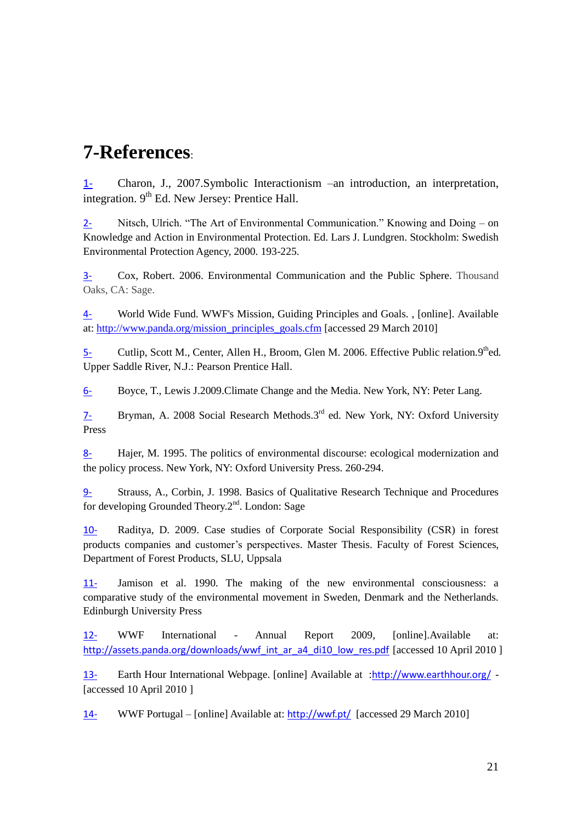## **7-References**:

1- Charon, J., 2007.Symbolic Interactionism –an introduction, an interpretation, integration.  $9<sup>th</sup>$  Ed. New Jersey: Prentice Hall.

2- Nitsch, Ulrich. "The Art of Environmental Communication." Knowing and Doing – on Knowledge and Action in Environmental Protection. Ed. Lars J. Lundgren. Stockholm: Swedish Environmental Protection Agency, 2000. 193-225.

3- Cox, Robert. 2006. Environmental Communication and the Public Sphere. Thousand Oaks, CA: Sage.

4- World Wide Fund. WWF's Mission, Guiding Principles and Goals. , [online]. Available at: [http://www.panda.org/mission\\_principles\\_goals.cfm](http://www.panda.org/mission_principles_goals.cfm) [accessed 29 March 2010]

5- Cutlip, Scott M., Center, Allen H., Broom, Glen M. 2006. Effective Public relation. 9<sup>th</sup>ed. Upper Saddle River, N.J.: Pearson Prentice Hall.

6- Boyce, T., Lewis J.2009.Climate Change and the Media. New York, NY: Peter Lang.

7- Bryman, A. 2008 Social Research Methods.3rd ed. New York, NY: Oxford University Press

8- Hajer, M. 1995. The politics of environmental discourse: ecological modernization and the policy process. New York, NY: Oxford University Press. 260-294.

9- Strauss, A., Corbin, J. 1998. Basics of Qualitative Research Technique and Procedures for developing Grounded Theory. $2<sup>nd</sup>$ . London: Sage

10- Raditya, D. 2009. Case studies of Corporate Social Responsibility (CSR) in forest products companies and customer"s perspectives. Master Thesis. Faculty of Forest Sciences, Department of Forest Products, SLU, Uppsala

11- Jamison et al. 1990. The making of the new environmental consciousness: a comparative study of the environmental movement in Sweden, Denmark and the Netherlands. Edinburgh University Press

12- WWF International - Annual Report 2009, [online].Available at: [http://assets.panda.org/downloads/wwf\\_int\\_ar\\_a4\\_di10\\_low\\_res.pdf](http://assets.panda.org/downloads/wwf_int_ar_a4_di10_low_res.pdf) [accessed 10 April 2010 ]

13- Earth Hour International Webpage. [online] Available at :<http://www.earthhour.org/> - [accessed 10 April 2010]

14- WWF Portugal – [online] Available at: <http://wwf.pt/> [accessed 29 March 2010]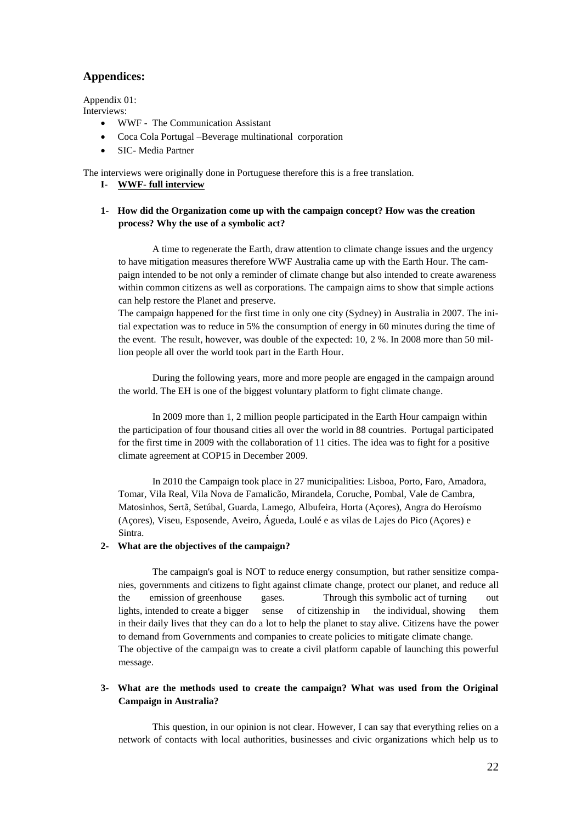## **Appendices:**

Appendix 01: Interviews:

- WWF The Communication Assistant
- Coca Cola Portugal –Beverage multinational corporation
- SIC- Media Partner

The interviews were originally done in Portuguese therefore this is a free translation.

- **I- WWF- full interview**
- **1- How did the Organization come up with the campaign concept? How was the creation process? Why the use of a symbolic act?**

A time to regenerate the Earth, draw attention to climate change issues and the urgency to have mitigation measures therefore WWF Australia came up with the Earth Hour. The campaign intended to be not only a reminder of climate change but also intended to create awareness within common citizens as well as corporations. The campaign aims to show that simple actions can help restore the Planet and preserve.

The campaign happened for the first time in only one city (Sydney) in Australia in 2007. The initial expectation was to reduce in 5% the consumption of energy in 60 minutes during the time of the event. The result, however, was double of the expected: 10, 2 %. In 2008 more than 50 million people all over the world took part in the Earth Hour.

During the following years, more and more people are engaged in the campaign around the world. The EH is one of the biggest voluntary platform to fight climate change.

In 2009 more than 1, 2 million people participated in the Earth Hour campaign within the participation of four thousand cities all over the world in 88 countries. Portugal participated for the first time in 2009 with the collaboration of 11 cities. The idea was to fight for a positive climate agreement at COP15 in December 2009.

In 2010 the Campaign took place in 27 municipalities: Lisboa, Porto, Faro, Amadora, Tomar, Vila Real, Vila Nova de Famalicão, Mirandela, Coruche, Pombal, Vale de Cambra, Matosinhos, Sertã, Setúbal, Guarda, Lamego, Albufeira, Horta (Açores), Angra do Heroísmo (Açores), Viseu, Esposende, Aveiro, Águeda, Loulé e as vilas de Lajes do Pico (Açores) e Sintra.

### **2- What are the objectives of the campaign?**

The campaign's goal is NOT to reduce energy consumption, but rather sensitize companies, governments and citizens to fight against climate change, protect our planet, and reduce all the emission of greenhouse gases. Through this symbolic act of turning out lights, intended to create a bigger sense of citizenship in the individual, showing them in their daily lives that they can do a lot to help the planet to stay alive. Citizens have the power to demand from Governments and companies to create policies to mitigate climate change. The objective of the campaign was to create a civil platform capable of launching this powerful message.

### **3- What are the methods used to create the campaign? What was used from the Original Campaign in Australia?**

This question, in our opinion is not clear. However, I can say that everything relies on a network of contacts with local authorities, businesses and civic organizations which help us to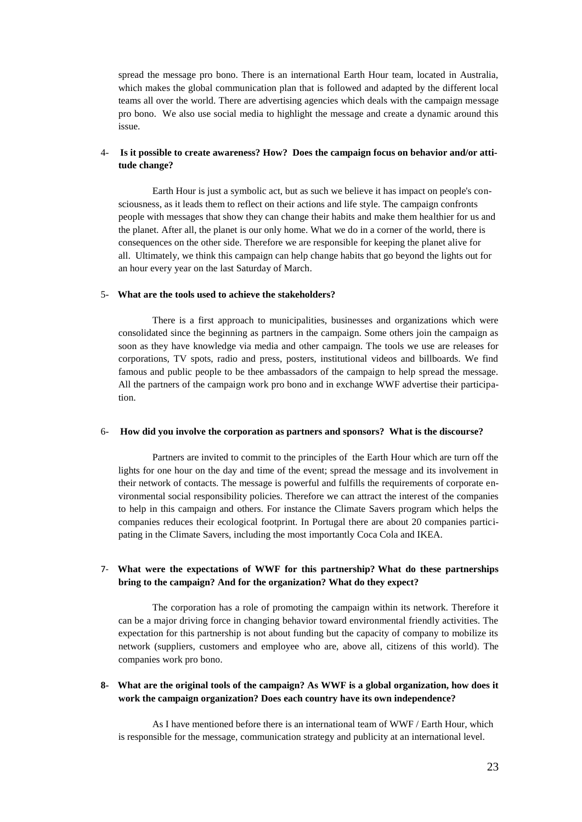spread the message pro bono. There is an international Earth Hour team, located in Australia, which makes the global communication plan that is followed and adapted by the different local teams all over the world. There are advertising agencies which deals with the campaign message pro bono. We also use social media to highlight the message and create a dynamic around this issue.

### 4- **Is it possible to create awareness? How? Does the campaign focus on behavior and/or attitude change?**

Earth Hour is just a symbolic act, but as such we believe it has impact on people's consciousness, as it leads them to reflect on their actions and life style. The campaign confronts people with messages that show they can change their habits and make them healthier for us and the planet. After all, the planet is our only home. What we do in a corner of the world, there is consequences on the other side. Therefore we are responsible for keeping the planet alive for all. Ultimately, we think this campaign can help change habits that go beyond the lights out for an hour every year on the last Saturday of March.

#### 5- **What are the tools used to achieve the stakeholders?**

There is a first approach to municipalities, businesses and organizations which were consolidated since the beginning as partners in the campaign. Some others join the campaign as soon as they have knowledge via media and other campaign. The tools we use are releases for corporations, TV spots, radio and press, posters, institutional videos and billboards. We find famous and public people to be thee ambassadors of the campaign to help spread the message. All the partners of the campaign work pro bono and in exchange WWF advertise their participation.

#### 6- **How did you involve the corporation as partners and sponsors? What is the discourse?**

Partners are invited to commit to the principles of the Earth Hour which are turn off the lights for one hour on the day and time of the event; spread the message and its involvement in their network of contacts. The message is powerful and fulfills the requirements of corporate environmental social responsibility policies. Therefore we can attract the interest of the companies to help in this campaign and others. For instance the Climate Savers program which helps the companies reduces their ecological footprint. In Portugal there are about 20 companies participating in the Climate Savers, including the most importantly Coca Cola and IKEA.

### 7- **What were the expectations of WWF for this partnership? What do these partnerships bring to the campaign? And for the organization? What do they expect?**

The corporation has a role of promoting the campaign within its network. Therefore it can be a major driving force in changing behavior toward environmental friendly activities. The expectation for this partnership is not about funding but the capacity of company to mobilize its network (suppliers, customers and employee who are, above all, citizens of this world). The companies work pro bono.

### **8- What are the original tools of the campaign? As WWF is a global organization, how does it work the campaign organization? Does each country have its own independence?**

As I have mentioned before there is an international team of WWF / Earth Hour, which is responsible for the message, communication strategy and publicity at an international level.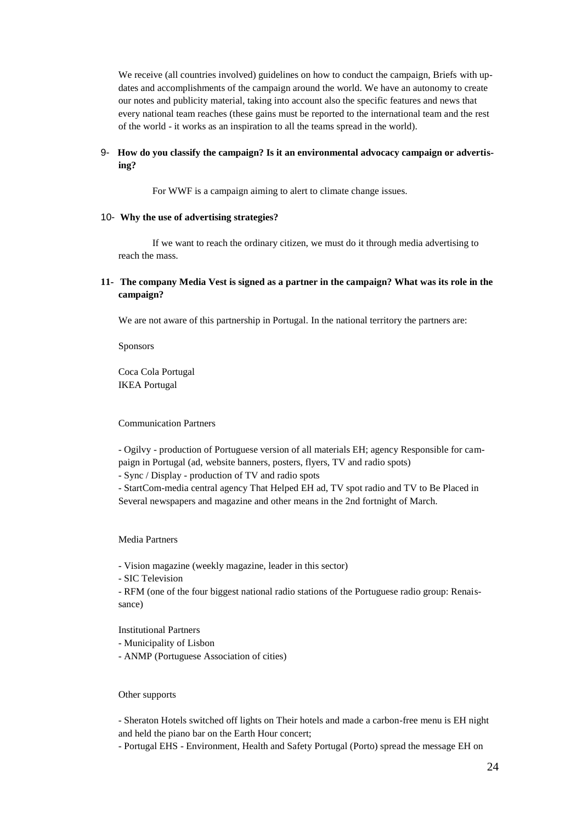We receive (all countries involved) guidelines on how to conduct the campaign, Briefs with updates and accomplishments of the campaign around the world. We have an autonomy to create our notes and publicity material, taking into account also the specific features and news that every national team reaches (these gains must be reported to the international team and the rest of the world - it works as an inspiration to all the teams spread in the world).

### 9- **How do you classify the campaign? Is it an environmental advocacy campaign or advertising?**

For WWF is a campaign aiming to alert to climate change issues.

#### 10- **Why the use of advertising strategies?**

If we want to reach the ordinary citizen, we must do it through media advertising to reach the mass.

#### **11- The company Media Vest is signed as a partner in the campaign? What was its role in the campaign?**

We are not aware of this partnership in Portugal. In the national territory the partners are:

Sponsors

Coca Cola Portugal IKEA Portugal

### Communication Partners

- Ogilvy - production of Portuguese version of all materials EH; agency Responsible for campaign in Portugal (ad, website banners, posters, flyers, TV and radio spots)

- Sync / Display - production of TV and radio spots

- StartCom-media central agency That Helped EH ad, TV spot radio and TV to Be Placed in Several newspapers and magazine and other means in the 2nd fortnight of March.

Media Partners

- Vision magazine (weekly magazine, leader in this sector)

- SIC Television

- RFM (one of the four biggest national radio stations of the Portuguese radio group: Renaissance)

Institutional Partners

- Municipality of Lisbon
- ANMP (Portuguese Association of cities)

#### Other supports

- Sheraton Hotels switched off lights on Their hotels and made a carbon-free menu is EH night and held the piano bar on the Earth Hour concert;

- Portugal EHS - Environment, Health and Safety Portugal (Porto) spread the message EH on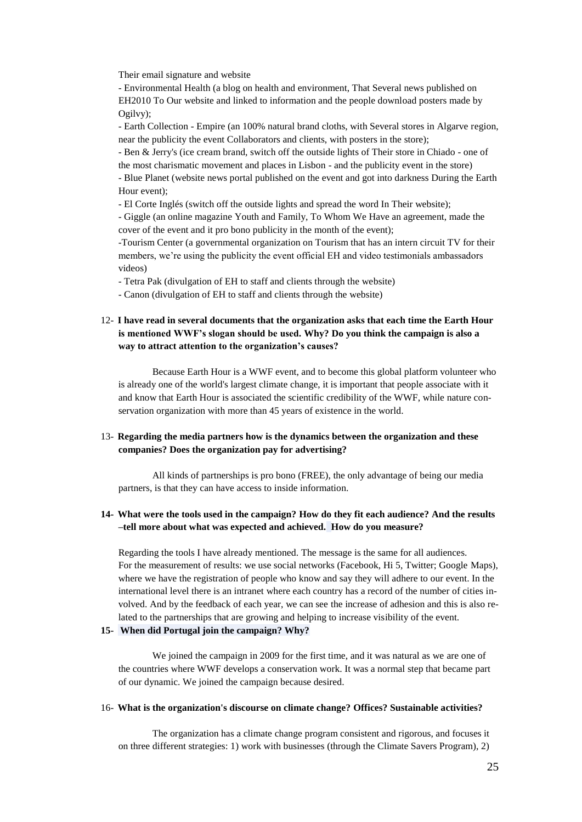Their email signature and website

- Environmental Health (a blog on health and environment, That Several news published on EH2010 To Our website and linked to information and the people download posters made by Ogilvy);

- Earth Collection - Empire (an 100% natural brand cloths, with Several stores in Algarve region, near the publicity the event Collaborators and clients, with posters in the store);

- Ben & Jerry's (ice cream brand, switch off the outside lights of Their store in Chiado - one of the most charismatic movement and places in Lisbon - and the publicity event in the store)

- Blue Planet (website news portal published on the event and got into darkness During the Earth Hour event);

- El Corte Inglés (switch off the outside lights and spread the word In Their website);

- Giggle (an online magazine Youth and Family, To Whom We Have an agreement, made the cover of the event and it pro bono publicity in the month of the event);

-Tourism Center (a governmental organization on Tourism that has an intern circuit TV for their members, we"re using the publicity the event official EH and video testimonials ambassadors videos)

- Tetra Pak (divulgation of EH to staff and clients through the website)

- Canon (divulgation of EH to staff and clients through the website)

### 12- **I have read in several documents that the organization asks that each time the Earth Hour is mentioned WWF's slogan should be used. Why? Do you think the campaign is also a way to attract attention to the organization's causes?**

Because Earth Hour is a WWF event, and to become this global platform volunteer who is already one of the world's largest climate change, it is important that people associate with it and know that Earth Hour is associated the scientific credibility of the WWF, while nature conservation organization with more than 45 years of existence in the world.

### 13- **Regarding the media partners how is the dynamics between the organization and these companies? Does the organization pay for advertising?**

All kinds of partnerships is pro bono (FREE), the only advantage of being our media partners, is that they can have access to inside information.

### **14- What were the tools used in the campaign? How do they fit each audience? And the results –tell more about what was expected and achieved. How do you measure?**

Regarding the tools I have already mentioned. The message is the same for all audiences. For the measurement of results: we use social networks (Facebook, Hi 5, Twitter; Google Maps), where we have the registration of people who know and say they will adhere to our event. In the international level there is an intranet where each country has a record of the number of cities involved. And by the feedback of each year, we can see the increase of adhesion and this is also related to the partnerships that are growing and helping to increase visibility of the event.

#### **15- When did Portugal join the campaign? Why?**

We joined the campaign in 2009 for the first time, and it was natural as we are one of the countries where WWF develops a conservation work. It was a normal step that became part of our dynamic. We joined the campaign because desired.

#### 16- **What is the organization's discourse on climate change? Offices? Sustainable activities?**

The organization has a climate change program consistent and rigorous, and focuses it on three different strategies: 1) work with businesses (through the Climate Savers Program), 2)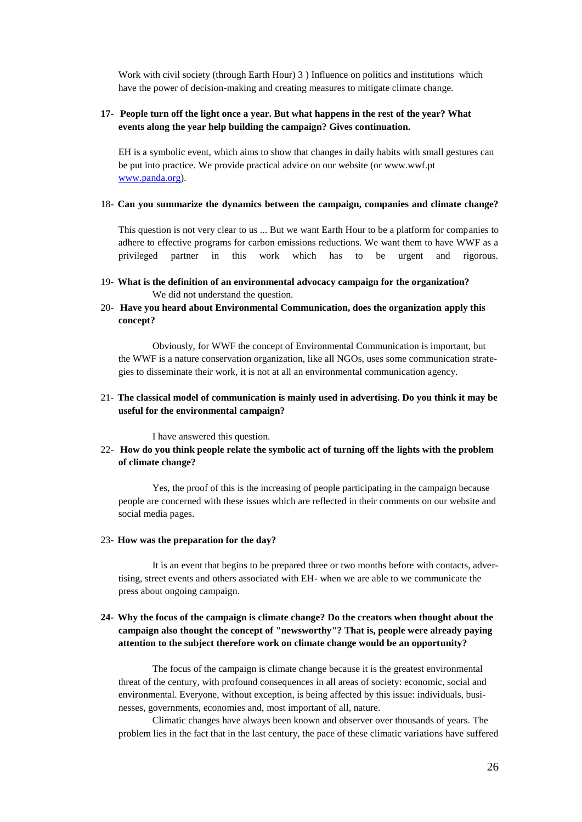Work with civil society (through Earth Hour) 3 ) Influence on politics and institutions which have the power of decision-making and creating measures to mitigate climate change.

### **17- People turn off the light once a year. But what happens in the rest of the year? What events along the year help building the campaign? Gives continuation.**

EH is a symbolic event, which aims to show that changes in daily habits with small gestures can be put into practice. We provide practical advice on our website (or www.wwf.pt [www.panda.org\)](http://www.panda.org/).

#### 18- **Can you summarize the dynamics between the campaign, companies and climate change?**

This question is not very clear to us ... But we want Earth Hour to be a platform for companies to adhere to effective programs for carbon emissions reductions. We want them to have WWF as a privileged partner in this work which has to be urgent and rigorous.

- 19- **What is the definition of an environmental advocacy campaign for the organization?**  We did not understand the question.
- 20- **Have you heard about Environmental Communication, does the organization apply this concept?**

Obviously, for WWF the concept of Environmental Communication is important, but the WWF is a nature conservation organization, like all NGOs, uses some communication strategies to disseminate their work, it is not at all an environmental communication agency.

### 21- **The classical model of communication is mainly used in advertising. Do you think it may be useful for the environmental campaign?**

I have answered this question.

22- **How do you think people relate the symbolic act of turning off the lights with the problem of climate change?**

Yes, the proof of this is the increasing of people participating in the campaign because people are concerned with these issues which are reflected in their comments on our website and social media pages.

#### 23- **How was the preparation for the day?**

It is an event that begins to be prepared three or two months before with contacts, advertising, street events and others associated with EH- when we are able to we communicate the press about ongoing campaign.

### **24- Why the focus of the campaign is climate change? Do the creators when thought about the campaign also thought the concept of "newsworthy"? That is, people were already paying attention to the subject therefore work on climate change would be an opportunity?**

The focus of the campaign is climate change because it is the greatest environmental threat of the century, with profound consequences in all areas of society: economic, social and environmental. Everyone, without exception, is being affected by this issue: individuals, businesses, governments, economies and, most important of all, nature.

Climatic changes have always been known and observer over thousands of years. The problem lies in the fact that in the last century, the pace of these climatic variations have suffered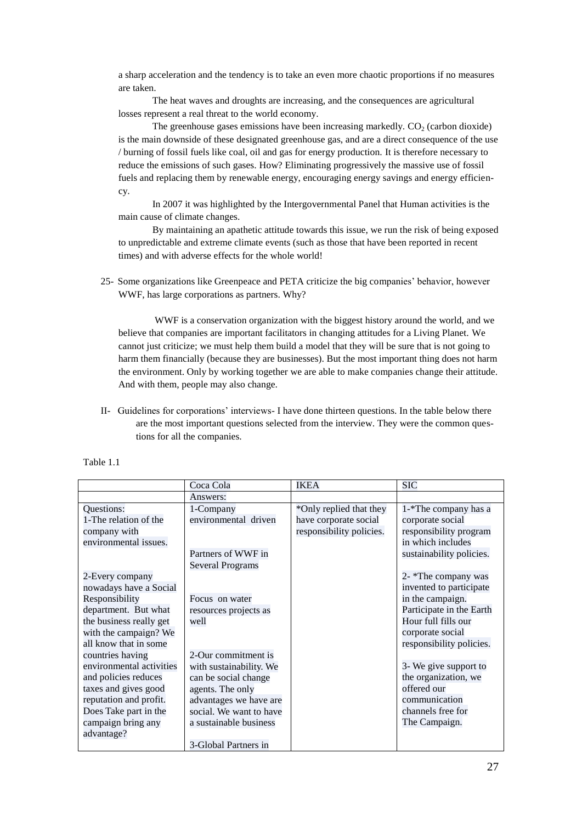a sharp acceleration and the tendency is to take an even more chaotic proportions if no measures are taken.

The heat waves and droughts are increasing, and the consequences are agricultural losses represent a real threat to the world economy.

The greenhouse gases emissions have been increasing markedly.  $CO<sub>2</sub>$  (carbon dioxide) is the main downside of these designated greenhouse gas, and are a direct consequence of the use / burning of fossil fuels like coal, oil and gas for energy production. It is therefore necessary to reduce the emissions of such gases. How? Eliminating progressively the massive use of fossil fuels and replacing them by renewable energy, encouraging energy savings and energy efficiency.

In 2007 it was highlighted by the Intergovernmental Panel that Human activities is the main cause of climate changes.

By maintaining an apathetic attitude towards this issue, we run the risk of being exposed to unpredictable and extreme climate events (such as those that have been reported in recent times) and with adverse effects for the whole world!

25- Some organizations like Greenpeace and PETA criticize the big companies" behavior, however WWF, has large corporations as partners. Why?

WWF is a conservation organization with the biggest history around the world, and we believe that companies are important facilitators in changing attitudes for a Living Planet. We cannot just criticize; we must help them build a model that they will be sure that is not going to harm them financially (because they are businesses). But the most important thing does not harm the environment. Only by working together we are able to make companies change their attitude. And with them, people may also change.

II- Guidelines for corporations" interviews- I have done thirteen questions. In the table below there are the most important questions selected from the interview. They were the common questions for all the companies.

|                          | Coca Cola               | <b>IKEA</b>              | <b>SIC</b>               |
|--------------------------|-------------------------|--------------------------|--------------------------|
|                          | Answers:                |                          |                          |
| Questions:               | 1-Company               | *Only replied that they  | 1-*The company has a     |
| 1-The relation of the    | environmental driven    | have corporate social    | corporate social         |
| company with             |                         | responsibility policies. | responsibility program   |
| environmental issues.    |                         |                          | in which includes        |
|                          | Partners of WWF in      |                          | sustainability policies. |
|                          | <b>Several Programs</b> |                          |                          |
| 2-Every company          |                         |                          | 2- *The company was      |
| nowadays have a Social   |                         |                          | invented to participate  |
| Responsibility           | Focus on water          |                          | in the campaign.         |
| department. But what     | resources projects as   |                          | Participate in the Earth |
| the business really get  | well                    |                          | Hour full fills our      |
| with the campaign? We    |                         |                          | corporate social         |
| all know that in some    |                         |                          | responsibility policies. |
| countries having         | 2-Our commitment is     |                          |                          |
| environmental activities | with sustainability. We |                          | 3- We give support to    |
| and policies reduces     | can be social change    |                          | the organization, we     |
| taxes and gives good     | agents. The only        |                          | offered our              |
| reputation and profit.   | advantages we have are  |                          | communication            |
| Does Take part in the    | social. We want to have |                          | channels free for        |
| campaign bring any       | a sustainable business  |                          | The Campaign.            |
| advantage?               |                         |                          |                          |
|                          | 3-Global Partners in    |                          |                          |

Table 1.1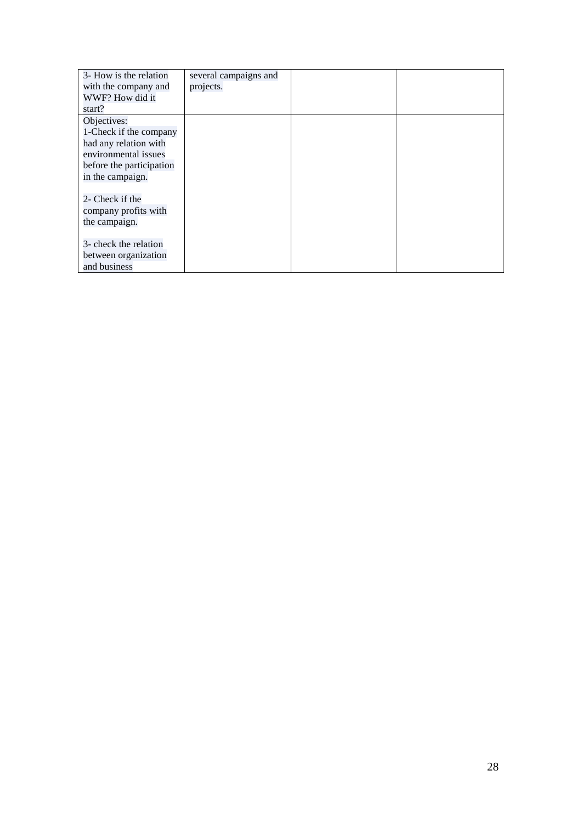| 3- How is the relation   | several campaigns and |  |
|--------------------------|-----------------------|--|
| with the company and     | projects.             |  |
| WWF? How did it          |                       |  |
| start?                   |                       |  |
| Objectives:              |                       |  |
| 1-Check if the company   |                       |  |
| had any relation with    |                       |  |
| environmental issues     |                       |  |
| before the participation |                       |  |
| in the campaign.         |                       |  |
|                          |                       |  |
| 2- Check if the          |                       |  |
| company profits with     |                       |  |
| the campaign.            |                       |  |
|                          |                       |  |
| 3- check the relation    |                       |  |
| between organization     |                       |  |
| and business             |                       |  |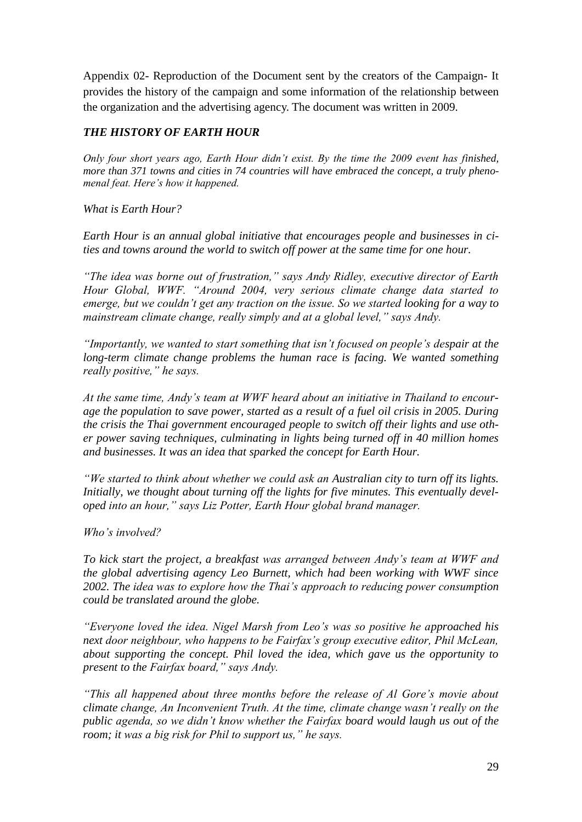Appendix 02- Reproduction of the Document sent by the creators of the Campaign- It provides the history of the campaign and some information of the relationship between the organization and the advertising agency. The document was written in 2009.

## *THE HISTORY OF EARTH HOUR*

*Only four short years ago, Earth Hour didn"t exist. By the time the 2009 event has finished, more than 371 towns and cities in 74 countries will have embraced the concept, a truly phenomenal feat. Here"s how it happened.*

*What is Earth Hour?*

*Earth Hour is an annual global initiative that encourages people and businesses in cities and towns around the world to switch off power at the same time for one hour.*

*"The idea was borne out of frustration," says Andy Ridley, executive director of Earth Hour Global, WWF. "Around 2004, very serious climate change data started to emerge, but we couldn"t get any traction on the issue. So we started looking for a way to mainstream climate change, really simply and at a global level," says Andy.*

*"Importantly, we wanted to start something that isn"t focused on people"s despair at the long-term climate change problems the human race is facing. We wanted something really positive," he says.*

*At the same time, Andy"s team at WWF heard about an initiative in Thailand to encourage the population to save power, started as a result of a fuel oil crisis in 2005. During the crisis the Thai government encouraged people to switch off their lights and use other power saving techniques, culminating in lights being turned off in 40 million homes and businesses. It was an idea that sparked the concept for Earth Hour.*

*"We started to think about whether we could ask an Australian city to turn off its lights. Initially, we thought about turning off the lights for five minutes. This eventually developed into an hour," says Liz Potter, Earth Hour global brand manager.*

*Who"s involved?*

*To kick start the project, a breakfast was arranged between Andy"s team at WWF and the global advertising agency Leo Burnett, which had been working with WWF since 2002. The idea was to explore how the Thai"s approach to reducing power consumption could be translated around the globe.*

*"Everyone loved the idea. Nigel Marsh from Leo"s was so positive he approached his next door neighbour, who happens to be Fairfax"s group executive editor, Phil McLean, about supporting the concept. Phil loved the idea, which gave us the opportunity to present to the Fairfax board," says Andy.*

*"This all happened about three months before the release of Al Gore"s movie about climate change, An Inconvenient Truth. At the time, climate change wasn"t really on the public agenda, so we didn"t know whether the Fairfax board would laugh us out of the room; it was a big risk for Phil to support us," he says.*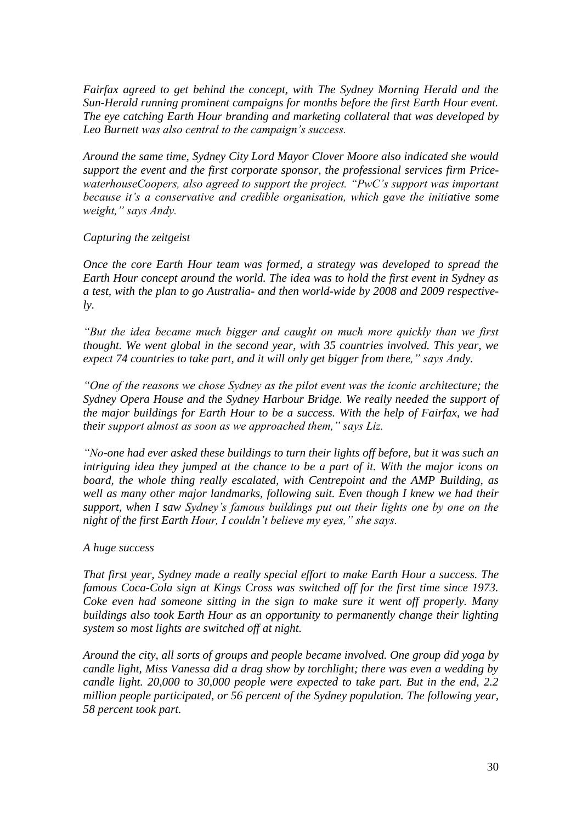*Fairfax agreed to get behind the concept, with The Sydney Morning Herald and the Sun-Herald running prominent campaigns for months before the first Earth Hour event. The eye catching Earth Hour branding and marketing collateral that was developed by Leo Burnett was also central to the campaign"s success.*

*Around the same time, Sydney City Lord Mayor Clover Moore also indicated she would support the event and the first corporate sponsor, the professional services firm PricewaterhouseCoopers, also agreed to support the project. "PwC"s support was important because it"s a conservative and credible organisation, which gave the initiative some weight," says Andy.*

## *Capturing the zeitgeist*

*Once the core Earth Hour team was formed, a strategy was developed to spread the Earth Hour concept around the world. The idea was to hold the first event in Sydney as a test, with the plan to go Australia- and then world-wide by 2008 and 2009 respectively.*

*"But the idea became much bigger and caught on much more quickly than we first thought. We went global in the second year, with 35 countries involved. This year, we expect 74 countries to take part, and it will only get bigger from there," says Andy.*

*"One of the reasons we chose Sydney as the pilot event was the iconic architecture; the Sydney Opera House and the Sydney Harbour Bridge. We really needed the support of the major buildings for Earth Hour to be a success. With the help of Fairfax, we had their support almost as soon as we approached them," says Liz.*

*"No-one had ever asked these buildings to turn their lights off before, but it was such an intriguing idea they jumped at the chance to be a part of it. With the major icons on board, the whole thing really escalated, with Centrepoint and the AMP Building, as well as many other major landmarks, following suit. Even though I knew we had their support, when I saw Sydney"s famous buildings put out their lights one by one on the night of the first Earth Hour, I couldn"t believe my eyes," she says.*

## *A huge success*

*That first year, Sydney made a really special effort to make Earth Hour a success. The famous Coca-Cola sign at Kings Cross was switched off for the first time since 1973. Coke even had someone sitting in the sign to make sure it went off properly. Many buildings also took Earth Hour as an opportunity to permanently change their lighting system so most lights are switched off at night.*

*Around the city, all sorts of groups and people became involved. One group did yoga by candle light, Miss Vanessa did a drag show by torchlight; there was even a wedding by candle light. 20,000 to 30,000 people were expected to take part. But in the end, 2.2 million people participated, or 56 percent of the Sydney population. The following year, 58 percent took part.*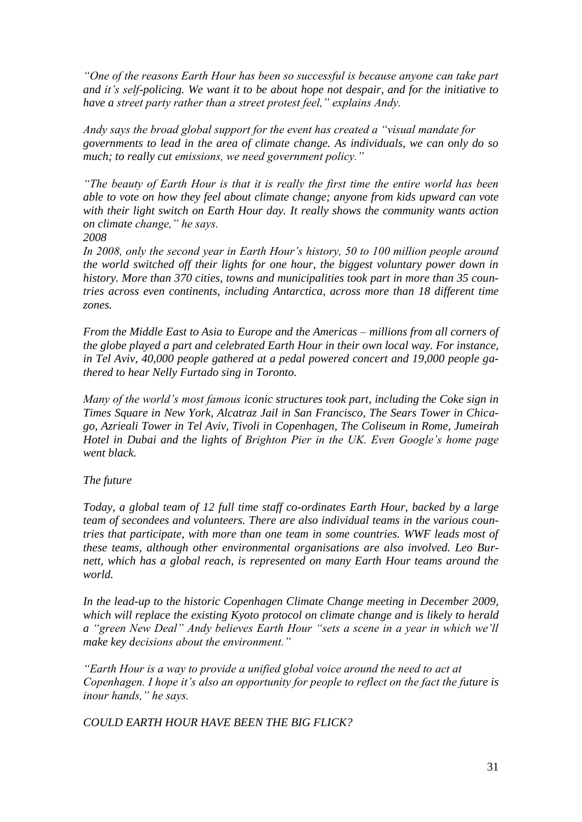*"One of the reasons Earth Hour has been so successful is because anyone can take part and it"s self-policing. We want it to be about hope not despair, and for the initiative to have a street party rather than a street protest feel," explains Andy.*

*Andy says the broad global support for the event has created a "visual mandate for governments to lead in the area of climate change. As individuals, we can only do so much; to really cut emissions, we need government policy."*

*"The beauty of Earth Hour is that it is really the first time the entire world has been able to vote on how they feel about climate change; anyone from kids upward can vote with their light switch on Earth Hour day. It really shows the community wants action on climate change," he says.*

*2008*

*In 2008, only the second year in Earth Hour"s history, 50 to 100 million people around the world switched off their lights for one hour, the biggest voluntary power down in history. More than 370 cities, towns and municipalities took part in more than 35 countries across even continents, including Antarctica, across more than 18 different time zones.*

*From the Middle East to Asia to Europe and the Americas – millions from all corners of the globe played a part and celebrated Earth Hour in their own local way. For instance, in Tel Aviv, 40,000 people gathered at a pedal powered concert and 19,000 people gathered to hear Nelly Furtado sing in Toronto.*

*Many of the world"s most famous iconic structures took part, including the Coke sign in Times Square in New York, Alcatraz Jail in San Francisco, The Sears Tower in Chicago, Azrieali Tower in Tel Aviv, Tivoli in Copenhagen, The Coliseum in Rome, Jumeirah Hotel in Dubai and the lights of Brighton Pier in the UK. Even Google"s home page went black.*

## *The future*

*Today, a global team of 12 full time staff co-ordinates Earth Hour, backed by a large team of secondees and volunteers. There are also individual teams in the various countries that participate, with more than one team in some countries. WWF leads most of these teams, although other environmental organisations are also involved. Leo Burnett, which has a global reach, is represented on many Earth Hour teams around the world.*

*In the lead-up to the historic Copenhagen Climate Change meeting in December 2009, which will replace the existing Kyoto protocol on climate change and is likely to herald a "green New Deal" Andy believes Earth Hour "sets a scene in a year in which we"ll make key decisions about the environment."*

*"Earth Hour is a way to provide a unified global voice around the need to act at Copenhagen. I hope it's also an opportunity for people to reflect on the fact the future is inour hands," he says.*

*COULD EARTH HOUR HAVE BEEN THE BIG FLICK?*